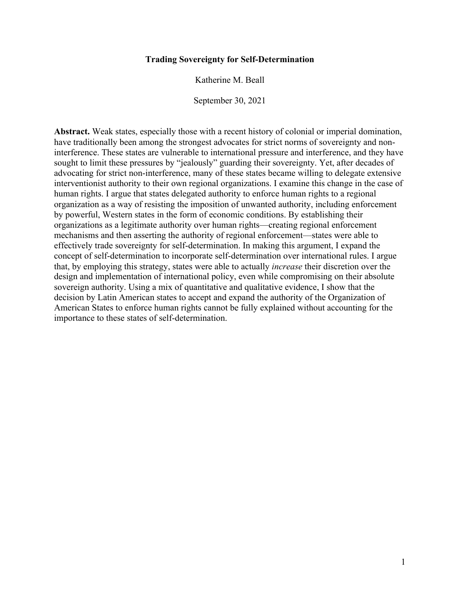## **Trading Sovereignty for Self-Determination**

Katherine M. Beall

September 30, 2021

**Abstract.** Weak states, especially those with a recent history of colonial or imperial domination, have traditionally been among the strongest advocates for strict norms of sovereignty and noninterference. These states are vulnerable to international pressure and interference, and they have sought to limit these pressures by "jealously" guarding their sovereignty. Yet, after decades of advocating for strict non-interference, many of these states became willing to delegate extensive interventionist authority to their own regional organizations. I examine this change in the case of human rights. I argue that states delegated authority to enforce human rights to a regional organization as a way of resisting the imposition of unwanted authority, including enforcement by powerful, Western states in the form of economic conditions. By establishing their organizations as a legitimate authority over human rights—creating regional enforcement mechanisms and then asserting the authority of regional enforcement—states were able to effectively trade sovereignty for self-determination. In making this argument, I expand the concept of self-determination to incorporate self-determination over international rules. I argue that, by employing this strategy, states were able to actually *increase* their discretion over the design and implementation of international policy, even while compromising on their absolute sovereign authority. Using a mix of quantitative and qualitative evidence, I show that the decision by Latin American states to accept and expand the authority of the Organization of American States to enforce human rights cannot be fully explained without accounting for the importance to these states of self-determination.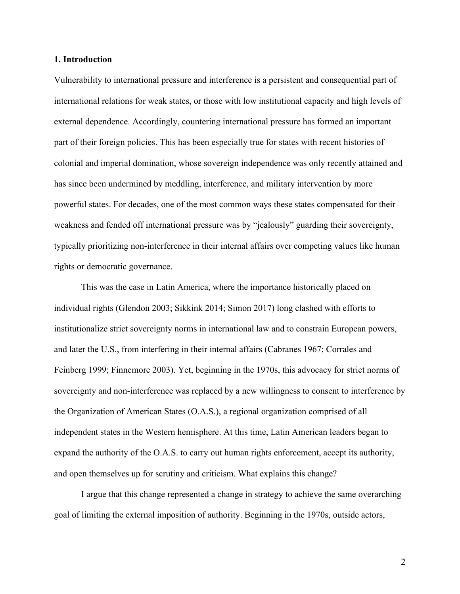## **1. Introduction**

Vulnerability to international pressure and interference is a persistent and consequential part of international relations for weak states, or those with low institutional capacity and high levels of external dependence. Accordingly, countering international pressure has formed an important part of their foreign policies. This has been especially true for states with recent histories of colonial and imperial domination, whose sovereign independence was only recently attained and has since been undermined by meddling, interference, and military intervention by more powerful states. For decades, one of the most common ways these states compensated for their weakness and fended off international pressure was by "jealously" guarding their sovereignty, typically prioritizing non-interference in their internal affairs over competing values like human rights or democratic governance.

This was the case in Latin America, where the importance historically placed on individual rights (Glendon 2003; Sikkink 2014; Simon 2017) long clashed with efforts to institutionalize strict sovereignty norms in international law and to constrain European powers, and later the U.S., from interfering in their internal affairs (Cabranes 1967; Corrales and Feinberg 1999; Finnemore 2003). Yet, beginning in the 1970s, this advocacy for strict norms of sovereignty and non-interference was replaced by a new willingness to consent to interference by the Organization of American States (O.A.S.), a regional organization comprised of all independent states in the Western hemisphere. At this time, Latin American leaders began to expand the authority of the O.A.S. to carry out human rights enforcement, accept its authority, and open themselves up for scrutiny and criticism. What explains this change?

I argue that this change represented a change in strategy to achieve the same overarching goal of limiting the external imposition of authority. Beginning in the 1970s, outside actors,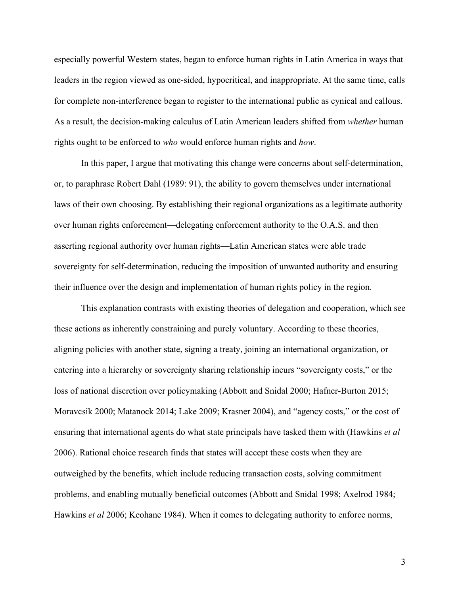especially powerful Western states, began to enforce human rights in Latin America in ways that leaders in the region viewed as one-sided, hypocritical, and inappropriate. At the same time, calls for complete non-interference began to register to the international public as cynical and callous. As a result, the decision-making calculus of Latin American leaders shifted from *whether* human rights ought to be enforced to *who* would enforce human rights and *how*.

In this paper, I argue that motivating this change were concerns about self-determination, or, to paraphrase Robert Dahl (1989: 91), the ability to govern themselves under international laws of their own choosing. By establishing their regional organizations as a legitimate authority over human rights enforcement—delegating enforcement authority to the O.A.S. and then asserting regional authority over human rights—Latin American states were able trade sovereignty for self-determination, reducing the imposition of unwanted authority and ensuring their influence over the design and implementation of human rights policy in the region.

This explanation contrasts with existing theories of delegation and cooperation, which see these actions as inherently constraining and purely voluntary. According to these theories, aligning policies with another state, signing a treaty, joining an international organization, or entering into a hierarchy or sovereignty sharing relationship incurs "sovereignty costs," or the loss of national discretion over policymaking (Abbott and Snidal 2000; Hafner-Burton 2015; Moravcsik 2000; Matanock 2014; Lake 2009; Krasner 2004), and "agency costs," or the cost of ensuring that international agents do what state principals have tasked them with (Hawkins *et al* 2006). Rational choice research finds that states will accept these costs when they are outweighed by the benefits, which include reducing transaction costs, solving commitment problems, and enabling mutually beneficial outcomes (Abbott and Snidal 1998; Axelrod 1984; Hawkins *et al* 2006; Keohane 1984). When it comes to delegating authority to enforce norms,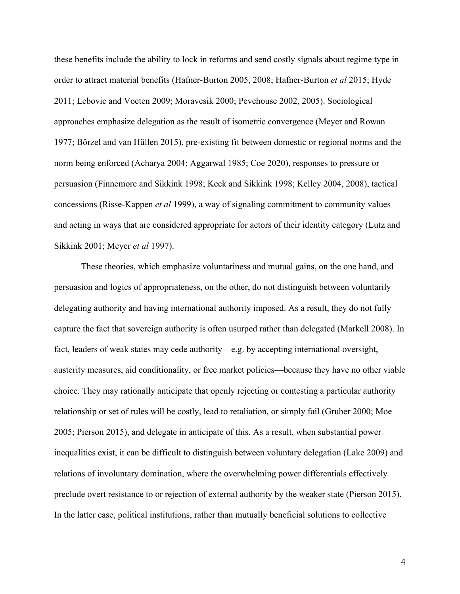these benefits include the ability to lock in reforms and send costly signals about regime type in order to attract material benefits (Hafner-Burton 2005, 2008; Hafner-Burton *et al* 2015; Hyde 2011; Lebovic and Voeten 2009; Moravcsik 2000; Pevehouse 2002, 2005). Sociological approaches emphasize delegation as the result of isometric convergence (Meyer and Rowan 1977; Börzel and van Hüllen 2015), pre-existing fit between domestic or regional norms and the norm being enforced (Acharya 2004; Aggarwal 1985; Coe 2020), responses to pressure or persuasion (Finnemore and Sikkink 1998; Keck and Sikkink 1998; Kelley 2004, 2008), tactical concessions (Risse-Kappen *et al* 1999), a way of signaling commitment to community values and acting in ways that are considered appropriate for actors of their identity category (Lutz and Sikkink 2001; Meyer *et al* 1997).

These theories, which emphasize voluntariness and mutual gains, on the one hand, and persuasion and logics of appropriateness, on the other, do not distinguish between voluntarily delegating authority and having international authority imposed. As a result, they do not fully capture the fact that sovereign authority is often usurped rather than delegated (Markell 2008). In fact, leaders of weak states may cede authority—e.g. by accepting international oversight, austerity measures, aid conditionality, or free market policies—because they have no other viable choice. They may rationally anticipate that openly rejecting or contesting a particular authority relationship or set of rules will be costly, lead to retaliation, or simply fail (Gruber 2000; Moe 2005; Pierson 2015), and delegate in anticipate of this. As a result, when substantial power inequalities exist, it can be difficult to distinguish between voluntary delegation (Lake 2009) and relations of involuntary domination, where the overwhelming power differentials effectively preclude overt resistance to or rejection of external authority by the weaker state (Pierson 2015). In the latter case, political institutions, rather than mutually beneficial solutions to collective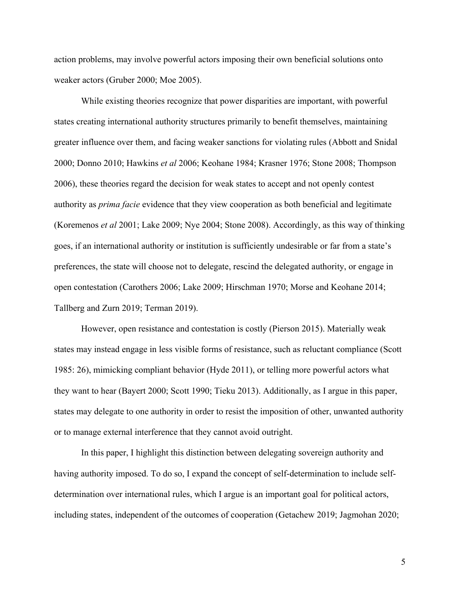action problems, may involve powerful actors imposing their own beneficial solutions onto weaker actors (Gruber 2000; Moe 2005).

While existing theories recognize that power disparities are important, with powerful states creating international authority structures primarily to benefit themselves, maintaining greater influence over them, and facing weaker sanctions for violating rules (Abbott and Snidal 2000; Donno 2010; Hawkins *et al* 2006; Keohane 1984; Krasner 1976; Stone 2008; Thompson 2006), these theories regard the decision for weak states to accept and not openly contest authority as *prima facie* evidence that they view cooperation as both beneficial and legitimate (Koremenos *et al* 2001; Lake 2009; Nye 2004; Stone 2008). Accordingly, as this way of thinking goes, if an international authority or institution is sufficiently undesirable or far from a state's preferences, the state will choose not to delegate, rescind the delegated authority, or engage in open contestation (Carothers 2006; Lake 2009; Hirschman 1970; Morse and Keohane 2014; Tallberg and Zurn 2019; Terman 2019).

However, open resistance and contestation is costly (Pierson 2015). Materially weak states may instead engage in less visible forms of resistance, such as reluctant compliance (Scott 1985: 26), mimicking compliant behavior (Hyde 2011), or telling more powerful actors what they want to hear (Bayert 2000; Scott 1990; Tieku 2013). Additionally, as I argue in this paper, states may delegate to one authority in order to resist the imposition of other, unwanted authority or to manage external interference that they cannot avoid outright.

In this paper, I highlight this distinction between delegating sovereign authority and having authority imposed. To do so, I expand the concept of self-determination to include selfdetermination over international rules, which I argue is an important goal for political actors, including states, independent of the outcomes of cooperation (Getachew 2019; Jagmohan 2020;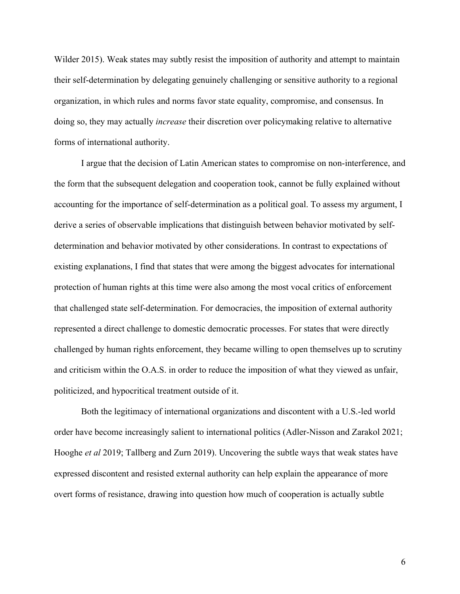Wilder 2015). Weak states may subtly resist the imposition of authority and attempt to maintain their self-determination by delegating genuinely challenging or sensitive authority to a regional organization, in which rules and norms favor state equality, compromise, and consensus. In doing so, they may actually *increase* their discretion over policymaking relative to alternative forms of international authority.

I argue that the decision of Latin American states to compromise on non-interference, and the form that the subsequent delegation and cooperation took, cannot be fully explained without accounting for the importance of self-determination as a political goal. To assess my argument, I derive a series of observable implications that distinguish between behavior motivated by selfdetermination and behavior motivated by other considerations. In contrast to expectations of existing explanations, I find that states that were among the biggest advocates for international protection of human rights at this time were also among the most vocal critics of enforcement that challenged state self-determination. For democracies, the imposition of external authority represented a direct challenge to domestic democratic processes. For states that were directly challenged by human rights enforcement, they became willing to open themselves up to scrutiny and criticism within the O.A.S. in order to reduce the imposition of what they viewed as unfair, politicized, and hypocritical treatment outside of it.

Both the legitimacy of international organizations and discontent with a U.S.-led world order have become increasingly salient to international politics (Adler-Nisson and Zarakol 2021; Hooghe *et al* 2019; Tallberg and Zurn 2019). Uncovering the subtle ways that weak states have expressed discontent and resisted external authority can help explain the appearance of more overt forms of resistance, drawing into question how much of cooperation is actually subtle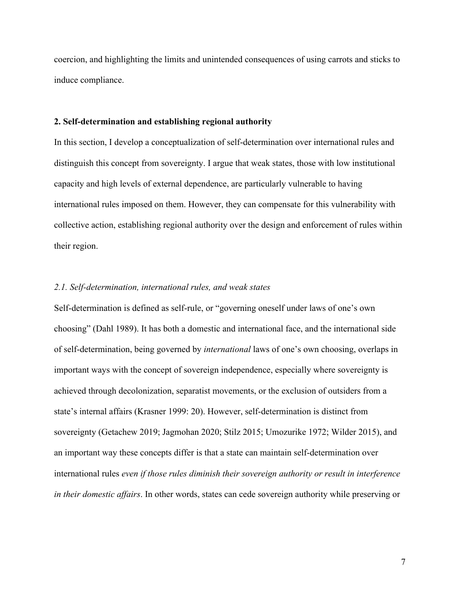coercion, and highlighting the limits and unintended consequences of using carrots and sticks to induce compliance.

## **2. Self-determination and establishing regional authority**

In this section, I develop a conceptualization of self-determination over international rules and distinguish this concept from sovereignty. I argue that weak states, those with low institutional capacity and high levels of external dependence, are particularly vulnerable to having international rules imposed on them. However, they can compensate for this vulnerability with collective action, establishing regional authority over the design and enforcement of rules within their region.

## *2.1. Self-determination, international rules, and weak states*

Self-determination is defined as self-rule, or "governing oneself under laws of one's own choosing" (Dahl 1989). It has both a domestic and international face, and the international side of self-determination, being governed by *international* laws of one's own choosing, overlaps in important ways with the concept of sovereign independence, especially where sovereignty is achieved through decolonization, separatist movements, or the exclusion of outsiders from a state's internal affairs (Krasner 1999: 20). However, self-determination is distinct from sovereignty (Getachew 2019; Jagmohan 2020; Stilz 2015; Umozurike 1972; Wilder 2015), and an important way these concepts differ is that a state can maintain self-determination over international rules *even if those rules diminish their sovereign authority or result in interference in their domestic affairs*. In other words, states can cede sovereign authority while preserving or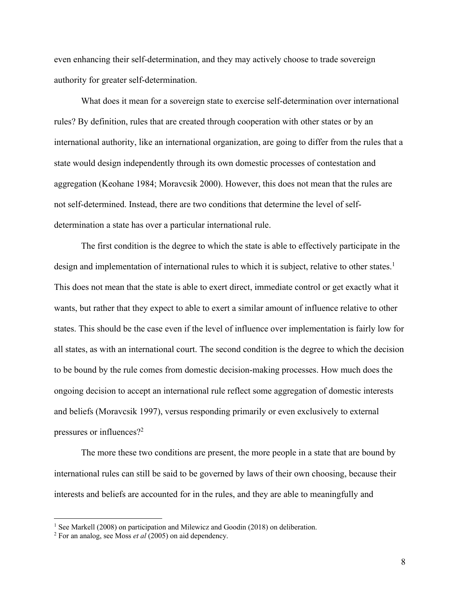even enhancing their self-determination, and they may actively choose to trade sovereign authority for greater self-determination.

What does it mean for a sovereign state to exercise self-determination over international rules? By definition, rules that are created through cooperation with other states or by an international authority, like an international organization, are going to differ from the rules that a state would design independently through its own domestic processes of contestation and aggregation (Keohane 1984; Moravcsik 2000). However, this does not mean that the rules are not self-determined. Instead, there are two conditions that determine the level of selfdetermination a state has over a particular international rule.

The first condition is the degree to which the state is able to effectively participate in the design and implementation of international rules to which it is subject, relative to other states.<sup>1</sup> This does not mean that the state is able to exert direct, immediate control or get exactly what it wants, but rather that they expect to able to exert a similar amount of influence relative to other states. This should be the case even if the level of influence over implementation is fairly low for all states, as with an international court. The second condition is the degree to which the decision to be bound by the rule comes from domestic decision-making processes. How much does the ongoing decision to accept an international rule reflect some aggregation of domestic interests and beliefs (Moravcsik 1997), versus responding primarily or even exclusively to external pressures or influences?2

The more these two conditions are present, the more people in a state that are bound by international rules can still be said to be governed by laws of their own choosing, because their interests and beliefs are accounted for in the rules, and they are able to meaningfully and

<sup>&</sup>lt;sup>1</sup> See Markell (2008) on participation and Milewicz and Goodin (2018) on deliberation.

<sup>2</sup> For an analog, see Moss *et al* (2005) on aid dependency.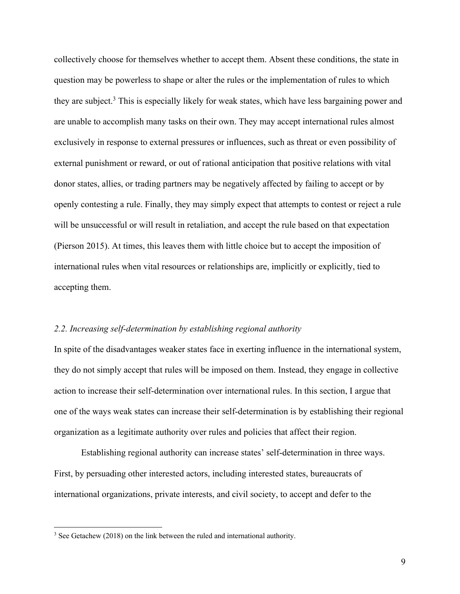collectively choose for themselves whether to accept them. Absent these conditions, the state in question may be powerless to shape or alter the rules or the implementation of rules to which they are subject.3 This is especially likely for weak states, which have less bargaining power and are unable to accomplish many tasks on their own. They may accept international rules almost exclusively in response to external pressures or influences, such as threat or even possibility of external punishment or reward, or out of rational anticipation that positive relations with vital donor states, allies, or trading partners may be negatively affected by failing to accept or by openly contesting a rule. Finally, they may simply expect that attempts to contest or reject a rule will be unsuccessful or will result in retaliation, and accept the rule based on that expectation (Pierson 2015). At times, this leaves them with little choice but to accept the imposition of international rules when vital resources or relationships are, implicitly or explicitly, tied to accepting them.

## *2.2. Increasing self-determination by establishing regional authority*

In spite of the disadvantages weaker states face in exerting influence in the international system, they do not simply accept that rules will be imposed on them. Instead, they engage in collective action to increase their self-determination over international rules. In this section, I argue that one of the ways weak states can increase their self-determination is by establishing their regional organization as a legitimate authority over rules and policies that affect their region.

Establishing regional authority can increase states' self-determination in three ways. First, by persuading other interested actors, including interested states, bureaucrats of international organizations, private interests, and civil society, to accept and defer to the

<sup>&</sup>lt;sup>3</sup> See Getachew (2018) on the link between the ruled and international authority.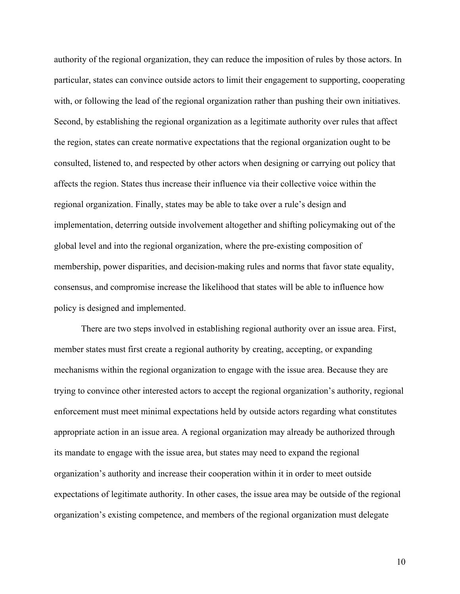authority of the regional organization, they can reduce the imposition of rules by those actors. In particular, states can convince outside actors to limit their engagement to supporting, cooperating with, or following the lead of the regional organization rather than pushing their own initiatives. Second, by establishing the regional organization as a legitimate authority over rules that affect the region, states can create normative expectations that the regional organization ought to be consulted, listened to, and respected by other actors when designing or carrying out policy that affects the region. States thus increase their influence via their collective voice within the regional organization. Finally, states may be able to take over a rule's design and implementation, deterring outside involvement altogether and shifting policymaking out of the global level and into the regional organization, where the pre-existing composition of membership, power disparities, and decision-making rules and norms that favor state equality, consensus, and compromise increase the likelihood that states will be able to influence how policy is designed and implemented.

There are two steps involved in establishing regional authority over an issue area. First, member states must first create a regional authority by creating, accepting, or expanding mechanisms within the regional organization to engage with the issue area. Because they are trying to convince other interested actors to accept the regional organization's authority, regional enforcement must meet minimal expectations held by outside actors regarding what constitutes appropriate action in an issue area. A regional organization may already be authorized through its mandate to engage with the issue area, but states may need to expand the regional organization's authority and increase their cooperation within it in order to meet outside expectations of legitimate authority. In other cases, the issue area may be outside of the regional organization's existing competence, and members of the regional organization must delegate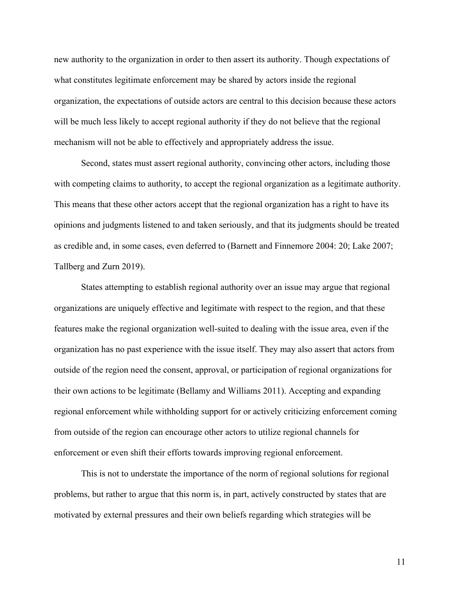new authority to the organization in order to then assert its authority. Though expectations of what constitutes legitimate enforcement may be shared by actors inside the regional organization, the expectations of outside actors are central to this decision because these actors will be much less likely to accept regional authority if they do not believe that the regional mechanism will not be able to effectively and appropriately address the issue.

Second, states must assert regional authority, convincing other actors, including those with competing claims to authority, to accept the regional organization as a legitimate authority. This means that these other actors accept that the regional organization has a right to have its opinions and judgments listened to and taken seriously, and that its judgments should be treated as credible and, in some cases, even deferred to (Barnett and Finnemore 2004: 20; Lake 2007; Tallberg and Zurn 2019).

States attempting to establish regional authority over an issue may argue that regional organizations are uniquely effective and legitimate with respect to the region, and that these features make the regional organization well-suited to dealing with the issue area, even if the organization has no past experience with the issue itself. They may also assert that actors from outside of the region need the consent, approval, or participation of regional organizations for their own actions to be legitimate (Bellamy and Williams 2011). Accepting and expanding regional enforcement while withholding support for or actively criticizing enforcement coming from outside of the region can encourage other actors to utilize regional channels for enforcement or even shift their efforts towards improving regional enforcement.

This is not to understate the importance of the norm of regional solutions for regional problems, but rather to argue that this norm is, in part, actively constructed by states that are motivated by external pressures and their own beliefs regarding which strategies will be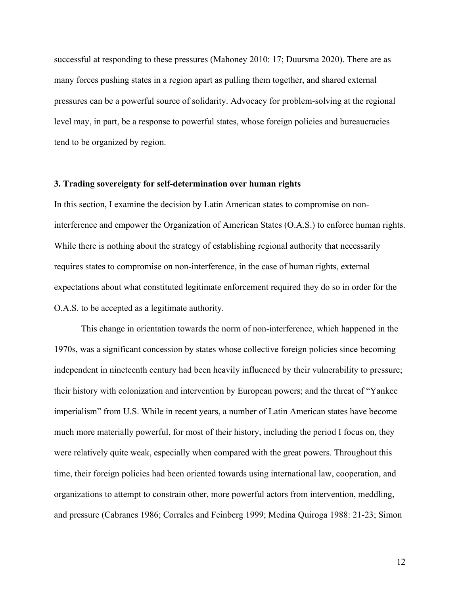successful at responding to these pressures (Mahoney 2010: 17; Duursma 2020). There are as many forces pushing states in a region apart as pulling them together, and shared external pressures can be a powerful source of solidarity. Advocacy for problem-solving at the regional level may, in part, be a response to powerful states, whose foreign policies and bureaucracies tend to be organized by region.

## **3. Trading sovereignty for self-determination over human rights**

In this section, I examine the decision by Latin American states to compromise on noninterference and empower the Organization of American States (O.A.S.) to enforce human rights. While there is nothing about the strategy of establishing regional authority that necessarily requires states to compromise on non-interference, in the case of human rights, external expectations about what constituted legitimate enforcement required they do so in order for the O.A.S. to be accepted as a legitimate authority.

This change in orientation towards the norm of non-interference, which happened in the 1970s, was a significant concession by states whose collective foreign policies since becoming independent in nineteenth century had been heavily influenced by their vulnerability to pressure; their history with colonization and intervention by European powers; and the threat of "Yankee imperialism" from U.S. While in recent years, a number of Latin American states have become much more materially powerful, for most of their history, including the period I focus on, they were relatively quite weak, especially when compared with the great powers. Throughout this time, their foreign policies had been oriented towards using international law, cooperation, and organizations to attempt to constrain other, more powerful actors from intervention, meddling, and pressure (Cabranes 1986; Corrales and Feinberg 1999; Medina Quiroga 1988: 21-23; Simon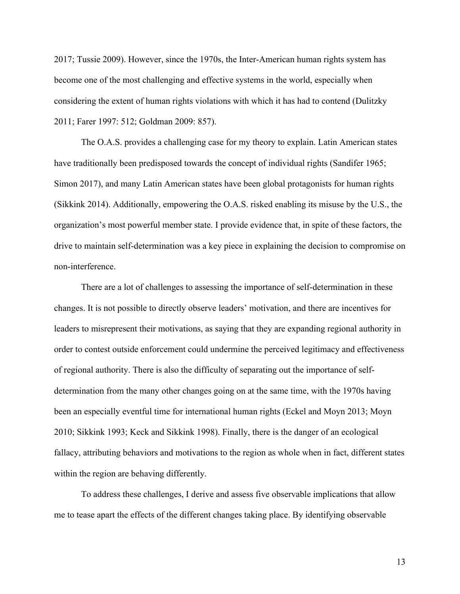2017; Tussie 2009). However, since the 1970s, the Inter-American human rights system has become one of the most challenging and effective systems in the world, especially when considering the extent of human rights violations with which it has had to contend (Dulitzky 2011; Farer 1997: 512; Goldman 2009: 857).

The O.A.S. provides a challenging case for my theory to explain. Latin American states have traditionally been predisposed towards the concept of individual rights (Sandifer 1965; Simon 2017), and many Latin American states have been global protagonists for human rights (Sikkink 2014). Additionally, empowering the O.A.S. risked enabling its misuse by the U.S., the organization's most powerful member state. I provide evidence that, in spite of these factors, the drive to maintain self-determination was a key piece in explaining the decision to compromise on non-interference.

There are a lot of challenges to assessing the importance of self-determination in these changes. It is not possible to directly observe leaders' motivation, and there are incentives for leaders to misrepresent their motivations, as saying that they are expanding regional authority in order to contest outside enforcement could undermine the perceived legitimacy and effectiveness of regional authority. There is also the difficulty of separating out the importance of selfdetermination from the many other changes going on at the same time, with the 1970s having been an especially eventful time for international human rights (Eckel and Moyn 2013; Moyn 2010; Sikkink 1993; Keck and Sikkink 1998). Finally, there is the danger of an ecological fallacy, attributing behaviors and motivations to the region as whole when in fact, different states within the region are behaving differently.

To address these challenges, I derive and assess five observable implications that allow me to tease apart the effects of the different changes taking place. By identifying observable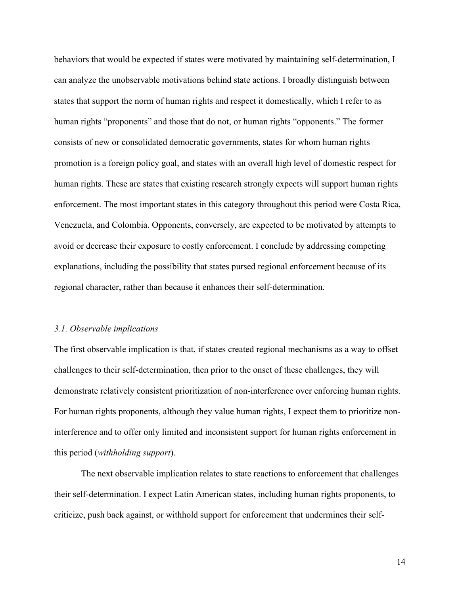behaviors that would be expected if states were motivated by maintaining self-determination, I can analyze the unobservable motivations behind state actions. I broadly distinguish between states that support the norm of human rights and respect it domestically, which I refer to as human rights "proponents" and those that do not, or human rights "opponents." The former consists of new or consolidated democratic governments, states for whom human rights promotion is a foreign policy goal, and states with an overall high level of domestic respect for human rights. These are states that existing research strongly expects will support human rights enforcement. The most important states in this category throughout this period were Costa Rica, Venezuela, and Colombia. Opponents, conversely, are expected to be motivated by attempts to avoid or decrease their exposure to costly enforcement. I conclude by addressing competing explanations, including the possibility that states pursed regional enforcement because of its regional character, rather than because it enhances their self-determination.

#### *3.1. Observable implications*

The first observable implication is that, if states created regional mechanisms as a way to offset challenges to their self-determination, then prior to the onset of these challenges, they will demonstrate relatively consistent prioritization of non-interference over enforcing human rights. For human rights proponents, although they value human rights, I expect them to prioritize noninterference and to offer only limited and inconsistent support for human rights enforcement in this period (*withholding support*).

The next observable implication relates to state reactions to enforcement that challenges their self-determination. I expect Latin American states, including human rights proponents, to criticize, push back against, or withhold support for enforcement that undermines their self-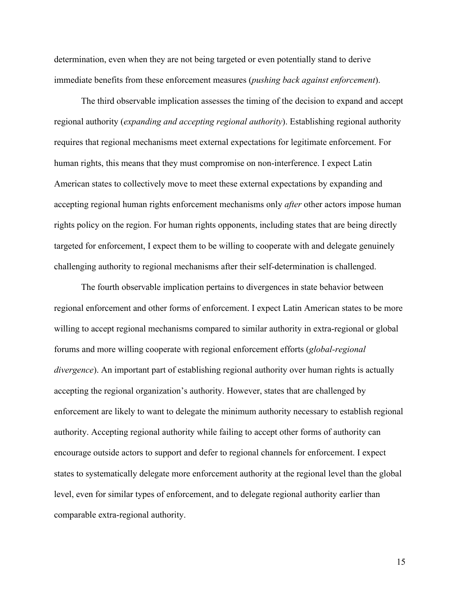determination, even when they are not being targeted or even potentially stand to derive immediate benefits from these enforcement measures (*pushing back against enforcement*).

The third observable implication assesses the timing of the decision to expand and accept regional authority (*expanding and accepting regional authority*). Establishing regional authority requires that regional mechanisms meet external expectations for legitimate enforcement. For human rights, this means that they must compromise on non-interference. I expect Latin American states to collectively move to meet these external expectations by expanding and accepting regional human rights enforcement mechanisms only *after* other actors impose human rights policy on the region. For human rights opponents, including states that are being directly targeted for enforcement, I expect them to be willing to cooperate with and delegate genuinely challenging authority to regional mechanisms after their self-determination is challenged.

The fourth observable implication pertains to divergences in state behavior between regional enforcement and other forms of enforcement. I expect Latin American states to be more willing to accept regional mechanisms compared to similar authority in extra-regional or global forums and more willing cooperate with regional enforcement efforts (*global-regional divergence*). An important part of establishing regional authority over human rights is actually accepting the regional organization's authority. However, states that are challenged by enforcement are likely to want to delegate the minimum authority necessary to establish regional authority. Accepting regional authority while failing to accept other forms of authority can encourage outside actors to support and defer to regional channels for enforcement. I expect states to systematically delegate more enforcement authority at the regional level than the global level, even for similar types of enforcement, and to delegate regional authority earlier than comparable extra-regional authority.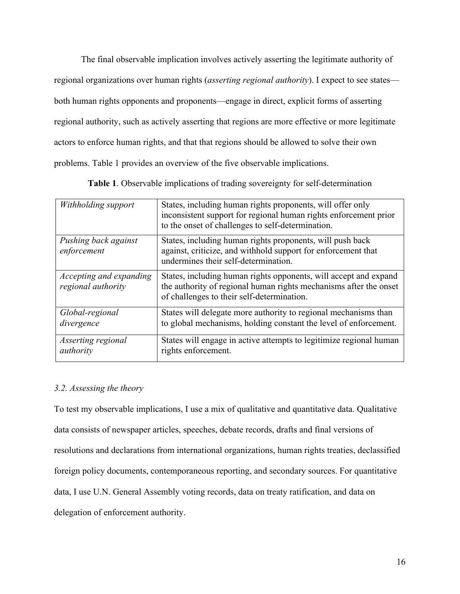The final observable implication involves actively asserting the legitimate authority of regional organizations over human rights (*asserting regional authority*). I expect to see states both human rights opponents and proponents—engage in direct, explicit forms of asserting regional authority, such as actively asserting that regions are more effective or more legitimate actors to enforce human rights, and that that regions should be allowed to solve their own problems. Table 1 provides an overview of the five observable implications.

*Withholding support* States, including human rights proponents, will offer only inconsistent support for regional human rights enforcement prior to the onset of challenges to self-determination. *Pushing back against enforcement* States, including human rights proponents, will push back against, criticize, and withhold support for enforcement that undermines their self-determination. *Accepting and expanding regional authority* States, including human rights opponents, will accept and expand the authority of regional human rights mechanisms after the onset of challenges to their self-determination. *Global-regional divergence* States will delegate more authority to regional mechanisms than to global mechanisms, holding constant the level of enforcement. *Asserting regional authority* States will engage in active attempts to legitimize regional human rights enforcement.

**Table 1**. Observable implications of trading sovereignty for self-determination

## *3.2. Assessing the theory*

To test my observable implications, I use a mix of qualitative and quantitative data. Qualitative data consists of newspaper articles, speeches, debate records, drafts and final versions of resolutions and declarations from international organizations, human rights treaties, declassified foreign policy documents, contemporaneous reporting, and secondary sources. For quantitative data, I use U.N. General Assembly voting records, data on treaty ratification, and data on delegation of enforcement authority.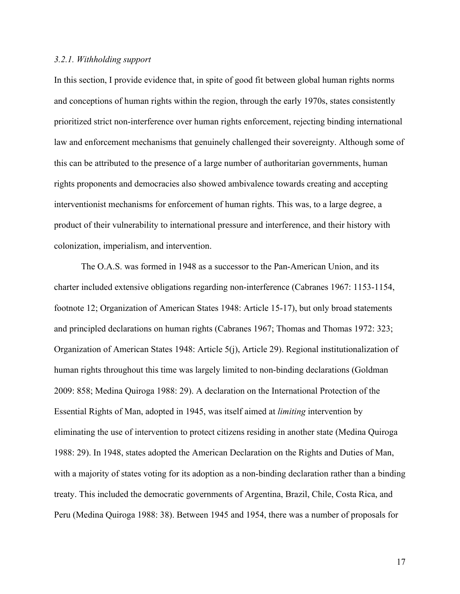## *3.2.1. Withholding support*

In this section, I provide evidence that, in spite of good fit between global human rights norms and conceptions of human rights within the region, through the early 1970s, states consistently prioritized strict non-interference over human rights enforcement, rejecting binding international law and enforcement mechanisms that genuinely challenged their sovereignty. Although some of this can be attributed to the presence of a large number of authoritarian governments, human rights proponents and democracies also showed ambivalence towards creating and accepting interventionist mechanisms for enforcement of human rights. This was, to a large degree, a product of their vulnerability to international pressure and interference, and their history with colonization, imperialism, and intervention.

The O.A.S. was formed in 1948 as a successor to the Pan-American Union, and its charter included extensive obligations regarding non-interference (Cabranes 1967: 1153-1154, footnote 12; Organization of American States 1948: Article 15-17), but only broad statements and principled declarations on human rights (Cabranes 1967; Thomas and Thomas 1972: 323; Organization of American States 1948: Article 5(j), Article 29). Regional institutionalization of human rights throughout this time was largely limited to non-binding declarations (Goldman 2009: 858; Medina Quiroga 1988: 29). A declaration on the International Protection of the Essential Rights of Man, adopted in 1945, was itself aimed at *limiting* intervention by eliminating the use of intervention to protect citizens residing in another state (Medina Quiroga 1988: 29). In 1948, states adopted the American Declaration on the Rights and Duties of Man, with a majority of states voting for its adoption as a non-binding declaration rather than a binding treaty. This included the democratic governments of Argentina, Brazil, Chile, Costa Rica, and Peru (Medina Quiroga 1988: 38). Between 1945 and 1954, there was a number of proposals for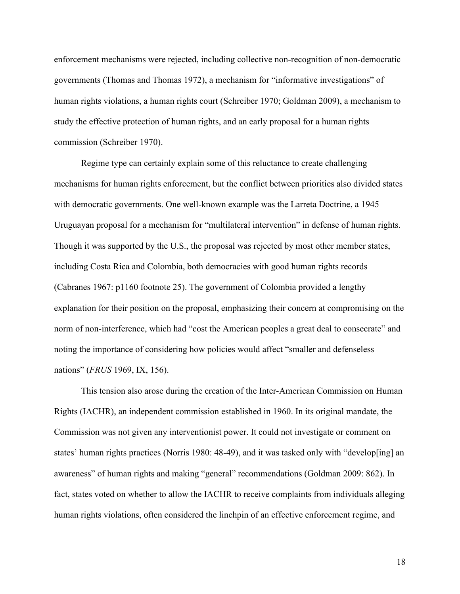enforcement mechanisms were rejected, including collective non-recognition of non-democratic governments (Thomas and Thomas 1972), a mechanism for "informative investigations" of human rights violations, a human rights court (Schreiber 1970; Goldman 2009), a mechanism to study the effective protection of human rights, and an early proposal for a human rights commission (Schreiber 1970).

Regime type can certainly explain some of this reluctance to create challenging mechanisms for human rights enforcement, but the conflict between priorities also divided states with democratic governments. One well-known example was the Larreta Doctrine, a 1945 Uruguayan proposal for a mechanism for "multilateral intervention" in defense of human rights. Though it was supported by the U.S., the proposal was rejected by most other member states, including Costa Rica and Colombia, both democracies with good human rights records (Cabranes 1967: p1160 footnote 25). The government of Colombia provided a lengthy explanation for their position on the proposal, emphasizing their concern at compromising on the norm of non-interference, which had "cost the American peoples a great deal to consecrate" and noting the importance of considering how policies would affect "smaller and defenseless nations" (*FRUS* 1969, IX, 156).

This tension also arose during the creation of the Inter-American Commission on Human Rights (IACHR), an independent commission established in 1960. In its original mandate, the Commission was not given any interventionist power. It could not investigate or comment on states' human rights practices (Norris 1980: 48-49), and it was tasked only with "develop[ing] an awareness" of human rights and making "general" recommendations (Goldman 2009: 862). In fact, states voted on whether to allow the IACHR to receive complaints from individuals alleging human rights violations, often considered the linchpin of an effective enforcement regime, and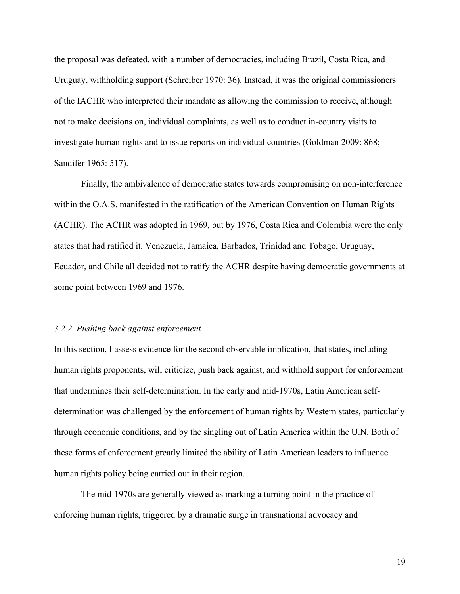the proposal was defeated, with a number of democracies, including Brazil, Costa Rica, and Uruguay, withholding support (Schreiber 1970: 36). Instead, it was the original commissioners of the IACHR who interpreted their mandate as allowing the commission to receive, although not to make decisions on, individual complaints, as well as to conduct in-country visits to investigate human rights and to issue reports on individual countries (Goldman 2009: 868; Sandifer 1965: 517).

Finally, the ambivalence of democratic states towards compromising on non-interference within the O.A.S. manifested in the ratification of the American Convention on Human Rights (ACHR). The ACHR was adopted in 1969, but by 1976, Costa Rica and Colombia were the only states that had ratified it. Venezuela, Jamaica, Barbados, Trinidad and Tobago, Uruguay, Ecuador, and Chile all decided not to ratify the ACHR despite having democratic governments at some point between 1969 and 1976.

#### *3.2.2. Pushing back against enforcement*

In this section, I assess evidence for the second observable implication, that states, including human rights proponents, will criticize, push back against, and withhold support for enforcement that undermines their self-determination. In the early and mid-1970s, Latin American selfdetermination was challenged by the enforcement of human rights by Western states, particularly through economic conditions, and by the singling out of Latin America within the U.N. Both of these forms of enforcement greatly limited the ability of Latin American leaders to influence human rights policy being carried out in their region.

The mid-1970s are generally viewed as marking a turning point in the practice of enforcing human rights, triggered by a dramatic surge in transnational advocacy and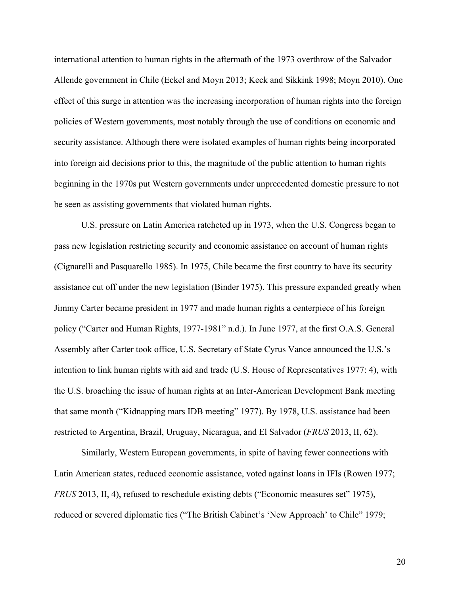international attention to human rights in the aftermath of the 1973 overthrow of the Salvador Allende government in Chile (Eckel and Moyn 2013; Keck and Sikkink 1998; Moyn 2010). One effect of this surge in attention was the increasing incorporation of human rights into the foreign policies of Western governments, most notably through the use of conditions on economic and security assistance. Although there were isolated examples of human rights being incorporated into foreign aid decisions prior to this, the magnitude of the public attention to human rights beginning in the 1970s put Western governments under unprecedented domestic pressure to not be seen as assisting governments that violated human rights.

U.S. pressure on Latin America ratcheted up in 1973, when the U.S. Congress began to pass new legislation restricting security and economic assistance on account of human rights (Cignarelli and Pasquarello 1985). In 1975, Chile became the first country to have its security assistance cut off under the new legislation (Binder 1975). This pressure expanded greatly when Jimmy Carter became president in 1977 and made human rights a centerpiece of his foreign policy ("Carter and Human Rights, 1977-1981" n.d.). In June 1977, at the first O.A.S. General Assembly after Carter took office, U.S. Secretary of State Cyrus Vance announced the U.S.'s intention to link human rights with aid and trade (U.S. House of Representatives 1977: 4), with the U.S. broaching the issue of human rights at an Inter-American Development Bank meeting that same month ("Kidnapping mars IDB meeting" 1977). By 1978, U.S. assistance had been restricted to Argentina, Brazil, Uruguay, Nicaragua, and El Salvador (*FRUS* 2013, II, 62).

Similarly, Western European governments, in spite of having fewer connections with Latin American states, reduced economic assistance, voted against loans in IFIs (Rowen 1977; *FRUS* 2013, II, 4), refused to reschedule existing debts ("Economic measures set" 1975), reduced or severed diplomatic ties ("The British Cabinet's 'New Approach' to Chile" 1979;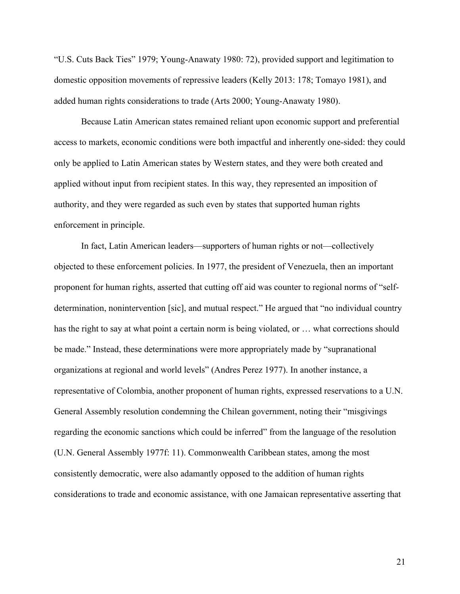"U.S. Cuts Back Ties" 1979; Young-Anawaty 1980: 72), provided support and legitimation to domestic opposition movements of repressive leaders (Kelly 2013: 178; Tomayo 1981), and added human rights considerations to trade (Arts 2000; Young-Anawaty 1980).

Because Latin American states remained reliant upon economic support and preferential access to markets, economic conditions were both impactful and inherently one-sided: they could only be applied to Latin American states by Western states, and they were both created and applied without input from recipient states. In this way, they represented an imposition of authority, and they were regarded as such even by states that supported human rights enforcement in principle.

In fact, Latin American leaders—supporters of human rights or not—collectively objected to these enforcement policies. In 1977, the president of Venezuela, then an important proponent for human rights, asserted that cutting off aid was counter to regional norms of "selfdetermination, nonintervention [sic], and mutual respect." He argued that "no individual country has the right to say at what point a certain norm is being violated, or … what corrections should be made." Instead, these determinations were more appropriately made by "supranational organizations at regional and world levels" (Andres Perez 1977). In another instance, a representative of Colombia, another proponent of human rights, expressed reservations to a U.N. General Assembly resolution condemning the Chilean government, noting their "misgivings regarding the economic sanctions which could be inferred" from the language of the resolution (U.N. General Assembly 1977f: 11). Commonwealth Caribbean states, among the most consistently democratic, were also adamantly opposed to the addition of human rights considerations to trade and economic assistance, with one Jamaican representative asserting that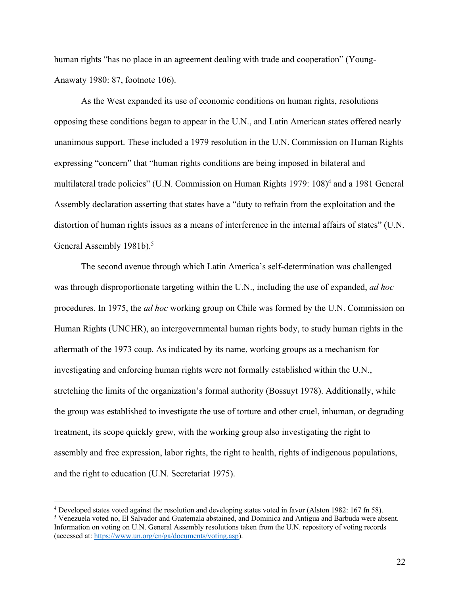human rights "has no place in an agreement dealing with trade and cooperation" (Young-Anawaty 1980: 87, footnote 106).

As the West expanded its use of economic conditions on human rights, resolutions opposing these conditions began to appear in the U.N., and Latin American states offered nearly unanimous support. These included a 1979 resolution in the U.N. Commission on Human Rights expressing "concern" that "human rights conditions are being imposed in bilateral and multilateral trade policies" (U.N. Commission on Human Rights 1979: 108)<sup>4</sup> and a 1981 General Assembly declaration asserting that states have a "duty to refrain from the exploitation and the distortion of human rights issues as a means of interference in the internal affairs of states" (U.N. General Assembly 1981b).<sup>5</sup>

The second avenue through which Latin America's self-determination was challenged was through disproportionate targeting within the U.N., including the use of expanded, *ad hoc* procedures. In 1975, the *ad hoc* working group on Chile was formed by the U.N. Commission on Human Rights (UNCHR), an intergovernmental human rights body, to study human rights in the aftermath of the 1973 coup. As indicated by its name, working groups as a mechanism for investigating and enforcing human rights were not formally established within the U.N., stretching the limits of the organization's formal authority (Bossuyt 1978). Additionally, while the group was established to investigate the use of torture and other cruel, inhuman, or degrading treatment, its scope quickly grew, with the working group also investigating the right to assembly and free expression, labor rights, the right to health, rights of indigenous populations, and the right to education (U.N. Secretariat 1975).

<sup>&</sup>lt;sup>4</sup> Developed states voted against the resolution and developing states voted in favor (Alston 1982: 167 fn 58). <sup>5</sup> Venezuela voted no, El Salvador and Guatemala abstained, and Dominica and Antigua and Barbuda were absen Information on voting on U.N. General Assembly resolutions taken from the U.N. repository of voting records (accessed at: https://www.un.org/en/ga/documents/voting.asp).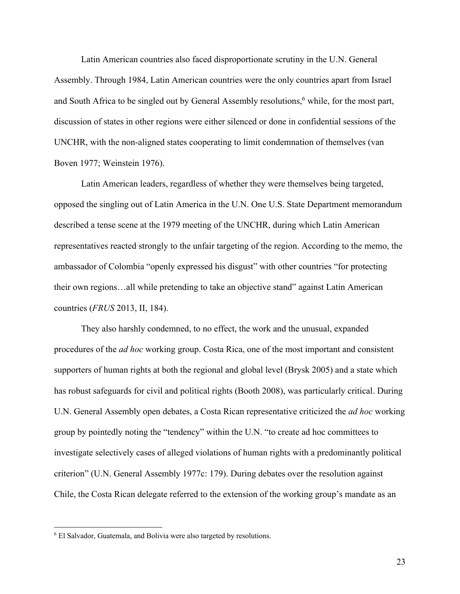Latin American countries also faced disproportionate scrutiny in the U.N. General Assembly. Through 1984, Latin American countries were the only countries apart from Israel and South Africa to be singled out by General Assembly resolutions,<sup>6</sup> while, for the most part, discussion of states in other regions were either silenced or done in confidential sessions of the UNCHR, with the non-aligned states cooperating to limit condemnation of themselves (van Boven 1977; Weinstein 1976).

Latin American leaders, regardless of whether they were themselves being targeted, opposed the singling out of Latin America in the U.N. One U.S. State Department memorandum described a tense scene at the 1979 meeting of the UNCHR, during which Latin American representatives reacted strongly to the unfair targeting of the region. According to the memo, the ambassador of Colombia "openly expressed his disgust" with other countries "for protecting their own regions…all while pretending to take an objective stand" against Latin American countries (*FRUS* 2013, II, 184).

They also harshly condemned, to no effect, the work and the unusual, expanded procedures of the *ad hoc* working group. Costa Rica, one of the most important and consistent supporters of human rights at both the regional and global level (Brysk 2005) and a state which has robust safeguards for civil and political rights (Booth 2008), was particularly critical. During U.N. General Assembly open debates, a Costa Rican representative criticized the *ad hoc* working group by pointedly noting the "tendency" within the U.N. "to create ad hoc committees to investigate selectively cases of alleged violations of human rights with a predominantly political criterion" (U.N. General Assembly 1977c: 179). During debates over the resolution against Chile, the Costa Rican delegate referred to the extension of the working group's mandate as an

<sup>6</sup> El Salvador, Guatemala, and Bolivia were also targeted by resolutions.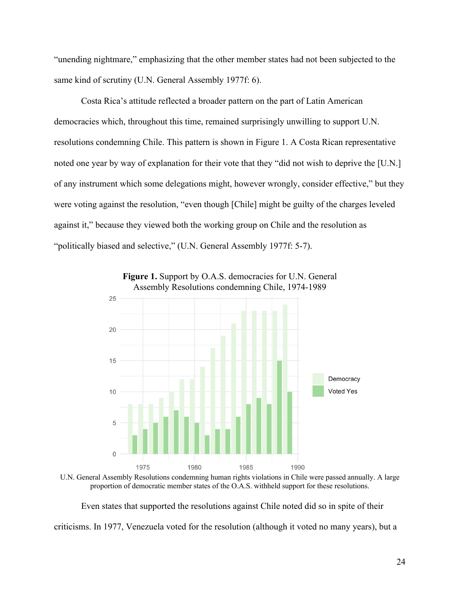"unending nightmare," emphasizing that the other member states had not been subjected to the same kind of scrutiny (U.N. General Assembly 1977f: 6).

Costa Rica's attitude reflected a broader pattern on the part of Latin American democracies which, throughout this time, remained surprisingly unwilling to support U.N. resolutions condemning Chile. This pattern is shown in Figure 1. A Costa Rican representative noted one year by way of explanation for their vote that they "did not wish to deprive the [U.N.] of any instrument which some delegations might, however wrongly, consider effective," but they were voting against the resolution, "even though [Chile] might be guilty of the charges leveled against it," because they viewed both the working group on Chile and the resolution as "politically biased and selective," (U.N. General Assembly 1977f: 5-7).



Figure 1. Support by O.A.S. democracies for U.N. General Assembly Resolutions condemning Chile, 1974-1989

U.N. General Assembly Resolutions condemning human rights violations in Chile were passed annually. A large proportion of democratic member states of the O.A.S. withheld support for these resolutions.

Even states that supported the resolutions against Chile noted did so in spite of their criticisms. In 1977, Venezuela voted for the resolution (although it voted no many years), but a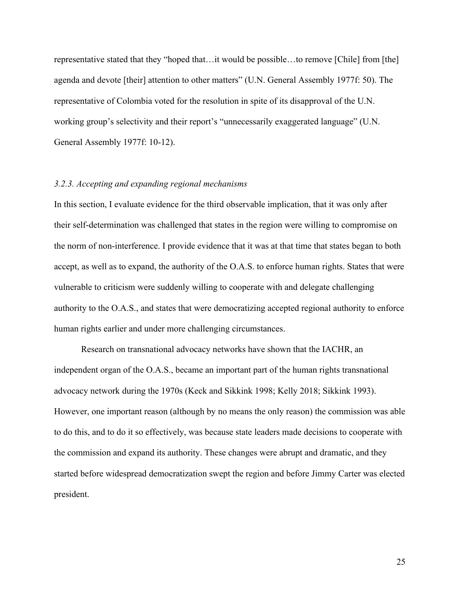representative stated that they "hoped that…it would be possible…to remove [Chile] from [the] agenda and devote [their] attention to other matters" (U.N. General Assembly 1977f: 50). The representative of Colombia voted for the resolution in spite of its disapproval of the U.N. working group's selectivity and their report's "unnecessarily exaggerated language" (U.N. General Assembly 1977f: 10-12).

## *3.2.3. Accepting and expanding regional mechanisms*

In this section, I evaluate evidence for the third observable implication, that it was only after their self-determination was challenged that states in the region were willing to compromise on the norm of non-interference. I provide evidence that it was at that time that states began to both accept, as well as to expand, the authority of the O.A.S. to enforce human rights. States that were vulnerable to criticism were suddenly willing to cooperate with and delegate challenging authority to the O.A.S., and states that were democratizing accepted regional authority to enforce human rights earlier and under more challenging circumstances.

Research on transnational advocacy networks have shown that the IACHR, an independent organ of the O.A.S., became an important part of the human rights transnational advocacy network during the 1970s (Keck and Sikkink 1998; Kelly 2018; Sikkink 1993). However, one important reason (although by no means the only reason) the commission was able to do this, and to do it so effectively, was because state leaders made decisions to cooperate with the commission and expand its authority. These changes were abrupt and dramatic, and they started before widespread democratization swept the region and before Jimmy Carter was elected president.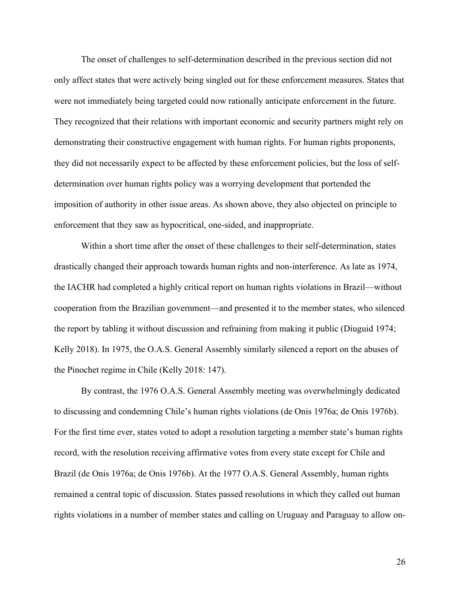The onset of challenges to self-determination described in the previous section did not only affect states that were actively being singled out for these enforcement measures. States that were not immediately being targeted could now rationally anticipate enforcement in the future. They recognized that their relations with important economic and security partners might rely on demonstrating their constructive engagement with human rights. For human rights proponents, they did not necessarily expect to be affected by these enforcement policies, but the loss of selfdetermination over human rights policy was a worrying development that portended the imposition of authority in other issue areas. As shown above, they also objected on principle to enforcement that they saw as hypocritical, one-sided, and inappropriate.

Within a short time after the onset of these challenges to their self-determination, states drastically changed their approach towards human rights and non-interference. As late as 1974, the IACHR had completed a highly critical report on human rights violations in Brazil—without cooperation from the Brazilian government—and presented it to the member states, who silenced the report by tabling it without discussion and refraining from making it public (Diuguid 1974; Kelly 2018). In 1975, the O.A.S. General Assembly similarly silenced a report on the abuses of the Pinochet regime in Chile (Kelly 2018: 147).

By contrast, the 1976 O.A.S. General Assembly meeting was overwhelmingly dedicated to discussing and condemning Chile's human rights violations (de Onis 1976a; de Onis 1976b). For the first time ever, states voted to adopt a resolution targeting a member state's human rights record, with the resolution receiving affirmative votes from every state except for Chile and Brazil (de Onis 1976a; de Onis 1976b). At the 1977 O.A.S. General Assembly, human rights remained a central topic of discussion. States passed resolutions in which they called out human rights violations in a number of member states and calling on Uruguay and Paraguay to allow on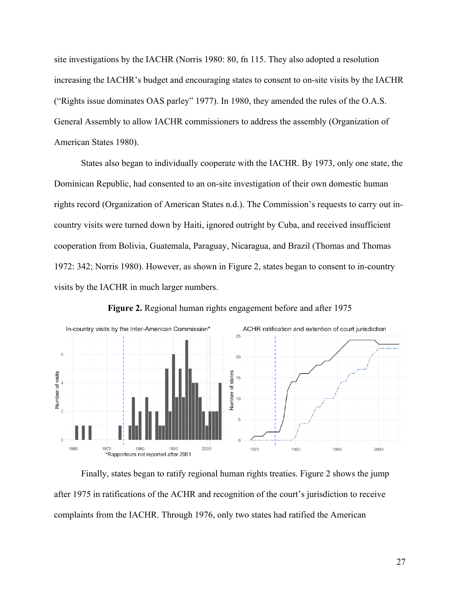site investigations by the IACHR (Norris 1980: 80, fn 115. They also adopted a resolution increasing the IACHR's budget and encouraging states to consent to on-site visits by the IACHR ("Rights issue dominates OAS parley" 1977). In 1980, they amended the rules of the O.A.S. General Assembly to allow IACHR commissioners to address the assembly (Organization of American States 1980).

States also began to individually cooperate with the IACHR. By 1973, only one state, the Dominican Republic, had consented to an on-site investigation of their own domestic human rights record (Organization of American States n.d.). The Commission's requests to carry out incountry visits were turned down by Haiti, ignored outright by Cuba, and received insufficient cooperation from Bolivia, Guatemala, Paraguay, Nicaragua, and Brazil (Thomas and Thomas 1972: 342; Norris 1980). However, as shown in Figure 2, states began to consent to in-country visits by the IACHR in much larger numbers.



**Figure 2.** Regional human rights engagement before and after 1975

Finally, states began to ratify regional human rights treaties. Figure 2 shows the jump after 1975 in ratifications of the ACHR and recognition of the court's jurisdiction to receive complaints from the IACHR. Through 1976, only two states had ratified the American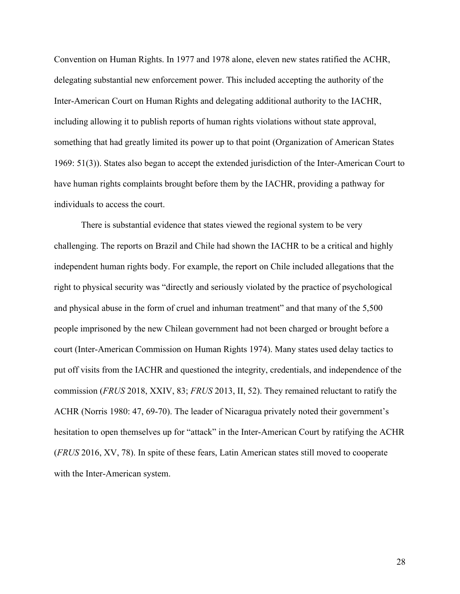Convention on Human Rights. In 1977 and 1978 alone, eleven new states ratified the ACHR, delegating substantial new enforcement power. This included accepting the authority of the Inter-American Court on Human Rights and delegating additional authority to the IACHR, including allowing it to publish reports of human rights violations without state approval, something that had greatly limited its power up to that point (Organization of American States 1969: 51(3)). States also began to accept the extended jurisdiction of the Inter-American Court to have human rights complaints brought before them by the IACHR, providing a pathway for individuals to access the court.

There is substantial evidence that states viewed the regional system to be very challenging. The reports on Brazil and Chile had shown the IACHR to be a critical and highly independent human rights body. For example, the report on Chile included allegations that the right to physical security was "directly and seriously violated by the practice of psychological and physical abuse in the form of cruel and inhuman treatment" and that many of the 5,500 people imprisoned by the new Chilean government had not been charged or brought before a court (Inter-American Commission on Human Rights 1974). Many states used delay tactics to put off visits from the IACHR and questioned the integrity, credentials, and independence of the commission (*FRUS* 2018, XXIV, 83; *FRUS* 2013, II, 52). They remained reluctant to ratify the ACHR (Norris 1980: 47, 69-70). The leader of Nicaragua privately noted their government's hesitation to open themselves up for "attack" in the Inter-American Court by ratifying the ACHR (*FRUS* 2016, XV, 78). In spite of these fears, Latin American states still moved to cooperate with the Inter-American system.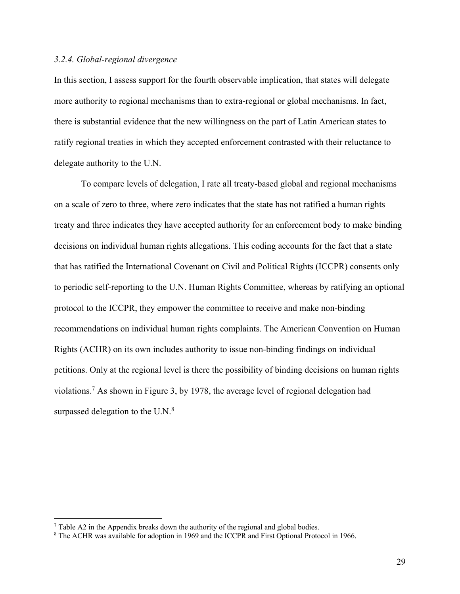## *3.2.4. Global-regional divergence*

In this section, I assess support for the fourth observable implication, that states will delegate more authority to regional mechanisms than to extra-regional or global mechanisms. In fact, there is substantial evidence that the new willingness on the part of Latin American states to ratify regional treaties in which they accepted enforcement contrasted with their reluctance to delegate authority to the U.N.

To compare levels of delegation, I rate all treaty-based global and regional mechanisms on a scale of zero to three, where zero indicates that the state has not ratified a human rights treaty and three indicates they have accepted authority for an enforcement body to make binding decisions on individual human rights allegations. This coding accounts for the fact that a state that has ratified the International Covenant on Civil and Political Rights (ICCPR) consents only to periodic self-reporting to the U.N. Human Rights Committee, whereas by ratifying an optional protocol to the ICCPR, they empower the committee to receive and make non-binding recommendations on individual human rights complaints. The American Convention on Human Rights (ACHR) on its own includes authority to issue non-binding findings on individual petitions. Only at the regional level is there the possibility of binding decisions on human rights violations.7 As shown in Figure 3, by 1978, the average level of regional delegation had surpassed delegation to the U.N.<sup>8</sup>

 $7$  Table A2 in the Appendix breaks down the authority of the regional and global bodies.

<sup>8</sup> The ACHR was available for adoption in 1969 and the ICCPR and First Optional Protocol in 1966.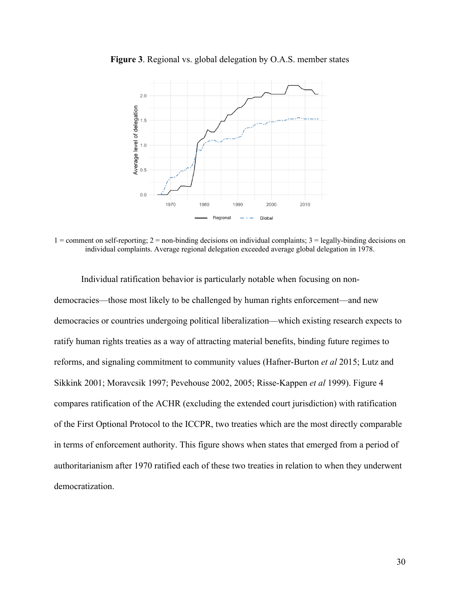

**Figure 3**. Regional vs. global delegation by O.A.S. member states

 $1 =$  comment on self-reporting;  $2 =$  non-binding decisions on individual complaints;  $3 =$  legally-binding decisions on individual complaints. Average regional delegation exceeded average global delegation in 1978.

Individual ratification behavior is particularly notable when focusing on nondemocracies—those most likely to be challenged by human rights enforcement—and new democracies or countries undergoing political liberalization—which existing research expects to ratify human rights treaties as a way of attracting material benefits, binding future regimes to reforms, and signaling commitment to community values (Hafner-Burton *et al* 2015; Lutz and Sikkink 2001; Moravcsik 1997; Pevehouse 2002, 2005; Risse-Kappen *et al* 1999). Figure 4 compares ratification of the ACHR (excluding the extended court jurisdiction) with ratification of the First Optional Protocol to the ICCPR, two treaties which are the most directly comparable in terms of enforcement authority. This figure shows when states that emerged from a period of authoritarianism after 1970 ratified each of these two treaties in relation to when they underwent democratization.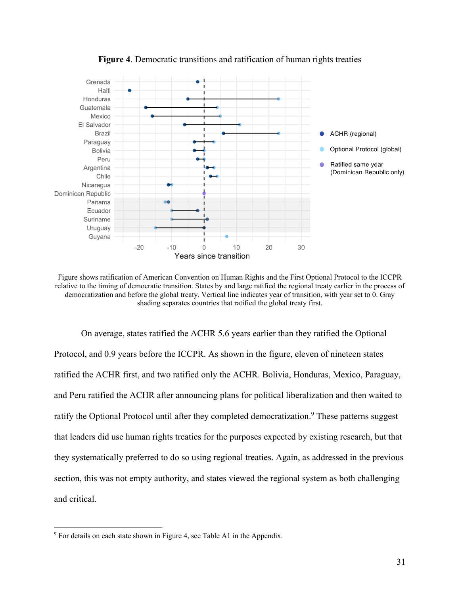

**Figure 4**. Democratic transitions and ratification of human rights treaties

Figure shows ratification of American Convention on Human Rights and the First Optional Protocol to the ICCPR relative to the timing of democratic transition. States by and large ratified the regional treaty earlier in the process of democratization and before the global treaty. Vertical line indicates year of transition, with year set to 0. Gray shading separates countries that ratified the global treaty first.

On average, states ratified the ACHR 5.6 years earlier than they ratified the Optional Protocol, and 0.9 years before the ICCPR. As shown in the figure, eleven of nineteen states ratified the ACHR first, and two ratified only the ACHR. Bolivia, Honduras, Mexico, Paraguay, and Peru ratified the ACHR after announcing plans for political liberalization and then waited to ratify the Optional Protocol until after they completed democratization.<sup>9</sup> These patterns suggest that leaders did use human rights treaties for the purposes expected by existing research, but that they systematically preferred to do so using regional treaties. Again, as addressed in the previous section, this was not empty authority, and states viewed the regional system as both challenging and critical.

<sup>&</sup>lt;sup>9</sup> For details on each state shown in Figure 4, see Table A1 in the Appendix.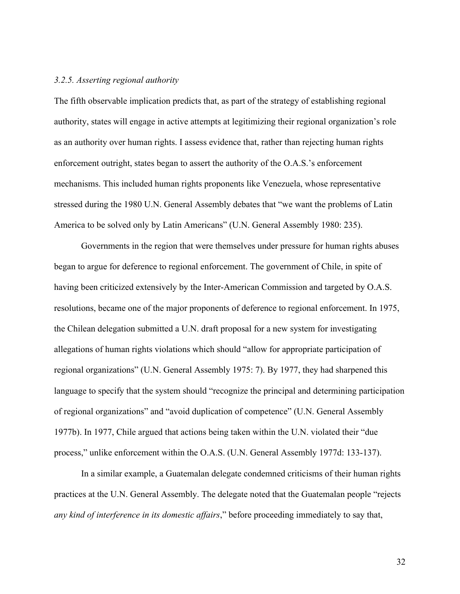## *3.2.5. Asserting regional authority*

The fifth observable implication predicts that, as part of the strategy of establishing regional authority, states will engage in active attempts at legitimizing their regional organization's role as an authority over human rights. I assess evidence that, rather than rejecting human rights enforcement outright, states began to assert the authority of the O.A.S.'s enforcement mechanisms. This included human rights proponents like Venezuela, whose representative stressed during the 1980 U.N. General Assembly debates that "we want the problems of Latin America to be solved only by Latin Americans" (U.N. General Assembly 1980: 235).

Governments in the region that were themselves under pressure for human rights abuses began to argue for deference to regional enforcement. The government of Chile, in spite of having been criticized extensively by the Inter-American Commission and targeted by O.A.S. resolutions, became one of the major proponents of deference to regional enforcement. In 1975, the Chilean delegation submitted a U.N. draft proposal for a new system for investigating allegations of human rights violations which should "allow for appropriate participation of regional organizations" (U.N. General Assembly 1975: 7). By 1977, they had sharpened this language to specify that the system should "recognize the principal and determining participation of regional organizations" and "avoid duplication of competence" (U.N. General Assembly 1977b). In 1977, Chile argued that actions being taken within the U.N. violated their "due process," unlike enforcement within the O.A.S. (U.N. General Assembly 1977d: 133-137).

In a similar example, a Guatemalan delegate condemned criticisms of their human rights practices at the U.N. General Assembly. The delegate noted that the Guatemalan people "rejects *any kind of interference in its domestic affairs*," before proceeding immediately to say that,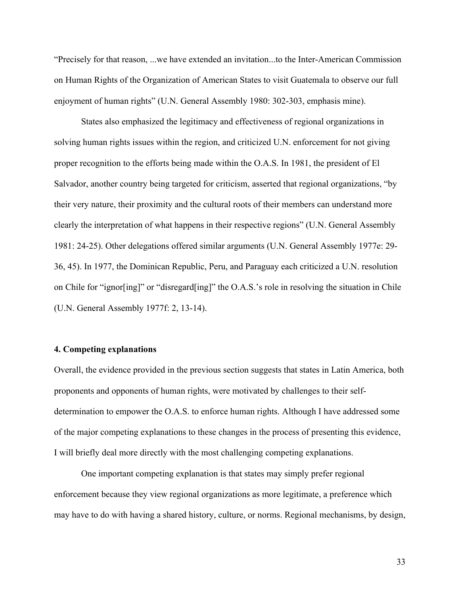"Precisely for that reason, ...we have extended an invitation...to the Inter-American Commission on Human Rights of the Organization of American States to visit Guatemala to observe our full enjoyment of human rights" (U.N. General Assembly 1980: 302-303, emphasis mine).

States also emphasized the legitimacy and effectiveness of regional organizations in solving human rights issues within the region, and criticized U.N. enforcement for not giving proper recognition to the efforts being made within the O.A.S. In 1981, the president of El Salvador, another country being targeted for criticism, asserted that regional organizations, "by their very nature, their proximity and the cultural roots of their members can understand more clearly the interpretation of what happens in their respective regions" (U.N. General Assembly 1981: 24-25). Other delegations offered similar arguments (U.N. General Assembly 1977e: 29- 36, 45). In 1977, the Dominican Republic, Peru, and Paraguay each criticized a U.N. resolution on Chile for "ignor[ing]" or "disregard[ing]" the O.A.S.'s role in resolving the situation in Chile (U.N. General Assembly 1977f: 2, 13-14).

## **4. Competing explanations**

Overall, the evidence provided in the previous section suggests that states in Latin America, both proponents and opponents of human rights, were motivated by challenges to their selfdetermination to empower the O.A.S. to enforce human rights. Although I have addressed some of the major competing explanations to these changes in the process of presenting this evidence, I will briefly deal more directly with the most challenging competing explanations.

One important competing explanation is that states may simply prefer regional enforcement because they view regional organizations as more legitimate, a preference which may have to do with having a shared history, culture, or norms. Regional mechanisms, by design,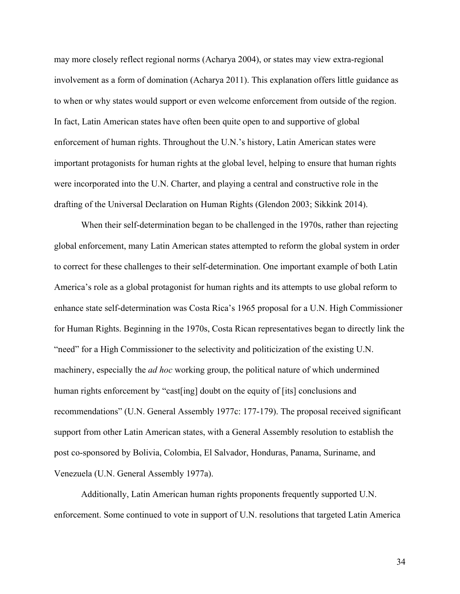may more closely reflect regional norms (Acharya 2004), or states may view extra-regional involvement as a form of domination (Acharya 2011). This explanation offers little guidance as to when or why states would support or even welcome enforcement from outside of the region. In fact, Latin American states have often been quite open to and supportive of global enforcement of human rights. Throughout the U.N.'s history, Latin American states were important protagonists for human rights at the global level, helping to ensure that human rights were incorporated into the U.N. Charter, and playing a central and constructive role in the drafting of the Universal Declaration on Human Rights (Glendon 2003; Sikkink 2014).

When their self-determination began to be challenged in the 1970s, rather than rejecting global enforcement, many Latin American states attempted to reform the global system in order to correct for these challenges to their self-determination. One important example of both Latin America's role as a global protagonist for human rights and its attempts to use global reform to enhance state self-determination was Costa Rica's 1965 proposal for a U.N. High Commissioner for Human Rights. Beginning in the 1970s, Costa Rican representatives began to directly link the "need" for a High Commissioner to the selectivity and politicization of the existing U.N. machinery, especially the *ad hoc* working group, the political nature of which undermined human rights enforcement by "cast[ing] doubt on the equity of [its] conclusions and recommendations" (U.N. General Assembly 1977c: 177-179). The proposal received significant support from other Latin American states, with a General Assembly resolution to establish the post co-sponsored by Bolivia, Colombia, El Salvador, Honduras, Panama, Suriname, and Venezuela (U.N. General Assembly 1977a).

Additionally, Latin American human rights proponents frequently supported U.N. enforcement. Some continued to vote in support of U.N. resolutions that targeted Latin America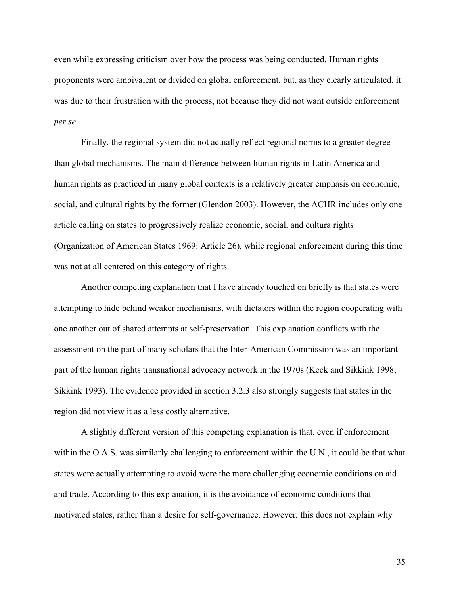even while expressing criticism over how the process was being conducted. Human rights proponents were ambivalent or divided on global enforcement, but, as they clearly articulated, it was due to their frustration with the process, not because they did not want outside enforcement *per se*.

Finally, the regional system did not actually reflect regional norms to a greater degree than global mechanisms. The main difference between human rights in Latin America and human rights as practiced in many global contexts is a relatively greater emphasis on economic, social, and cultural rights by the former (Glendon 2003). However, the ACHR includes only one article calling on states to progressively realize economic, social, and cultura rights (Organization of American States 1969: Article 26), while regional enforcement during this time was not at all centered on this category of rights.

Another competing explanation that I have already touched on briefly is that states were attempting to hide behind weaker mechanisms, with dictators within the region cooperating with one another out of shared attempts at self-preservation. This explanation conflicts with the assessment on the part of many scholars that the Inter-American Commission was an important part of the human rights transnational advocacy network in the 1970s (Keck and Sikkink 1998; Sikkink 1993). The evidence provided in section 3.2.3 also strongly suggests that states in the region did not view it as a less costly alternative.

A slightly different version of this competing explanation is that, even if enforcement within the O.A.S. was similarly challenging to enforcement within the U.N., it could be that what states were actually attempting to avoid were the more challenging economic conditions on aid and trade. According to this explanation, it is the avoidance of economic conditions that motivated states, rather than a desire for self-governance. However, this does not explain why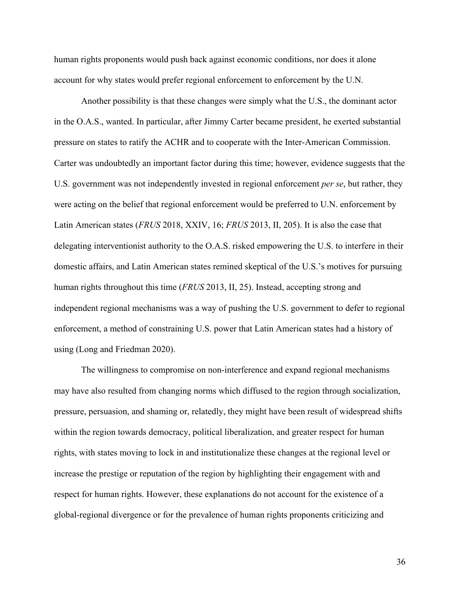human rights proponents would push back against economic conditions, nor does it alone account for why states would prefer regional enforcement to enforcement by the U.N.

Another possibility is that these changes were simply what the U.S., the dominant actor in the O.A.S., wanted. In particular, after Jimmy Carter became president, he exerted substantial pressure on states to ratify the ACHR and to cooperate with the Inter-American Commission. Carter was undoubtedly an important factor during this time; however, evidence suggests that the U.S. government was not independently invested in regional enforcement *per se*, but rather, they were acting on the belief that regional enforcement would be preferred to U.N. enforcement by Latin American states (*FRUS* 2018, XXIV, 16; *FRUS* 2013, II, 205). It is also the case that delegating interventionist authority to the O.A.S. risked empowering the U.S. to interfere in their domestic affairs, and Latin American states remined skeptical of the U.S.'s motives for pursuing human rights throughout this time (*FRUS* 2013, II, 25). Instead, accepting strong and independent regional mechanisms was a way of pushing the U.S. government to defer to regional enforcement, a method of constraining U.S. power that Latin American states had a history of using (Long and Friedman 2020).

The willingness to compromise on non-interference and expand regional mechanisms may have also resulted from changing norms which diffused to the region through socialization, pressure, persuasion, and shaming or, relatedly, they might have been result of widespread shifts within the region towards democracy, political liberalization, and greater respect for human rights, with states moving to lock in and institutionalize these changes at the regional level or increase the prestige or reputation of the region by highlighting their engagement with and respect for human rights. However, these explanations do not account for the existence of a global-regional divergence or for the prevalence of human rights proponents criticizing and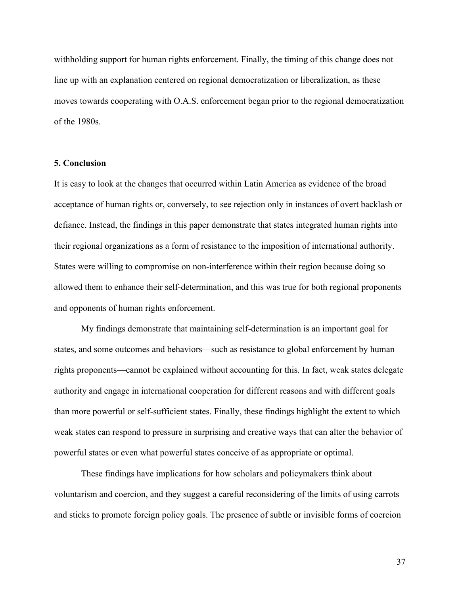withholding support for human rights enforcement. Finally, the timing of this change does not line up with an explanation centered on regional democratization or liberalization, as these moves towards cooperating with O.A.S. enforcement began prior to the regional democratization of the 1980s.

## **5. Conclusion**

It is easy to look at the changes that occurred within Latin America as evidence of the broad acceptance of human rights or, conversely, to see rejection only in instances of overt backlash or defiance. Instead, the findings in this paper demonstrate that states integrated human rights into their regional organizations as a form of resistance to the imposition of international authority. States were willing to compromise on non-interference within their region because doing so allowed them to enhance their self-determination, and this was true for both regional proponents and opponents of human rights enforcement.

My findings demonstrate that maintaining self-determination is an important goal for states, and some outcomes and behaviors—such as resistance to global enforcement by human rights proponents—cannot be explained without accounting for this. In fact, weak states delegate authority and engage in international cooperation for different reasons and with different goals than more powerful or self-sufficient states. Finally, these findings highlight the extent to which weak states can respond to pressure in surprising and creative ways that can alter the behavior of powerful states or even what powerful states conceive of as appropriate or optimal.

These findings have implications for how scholars and policymakers think about voluntarism and coercion, and they suggest a careful reconsidering of the limits of using carrots and sticks to promote foreign policy goals. The presence of subtle or invisible forms of coercion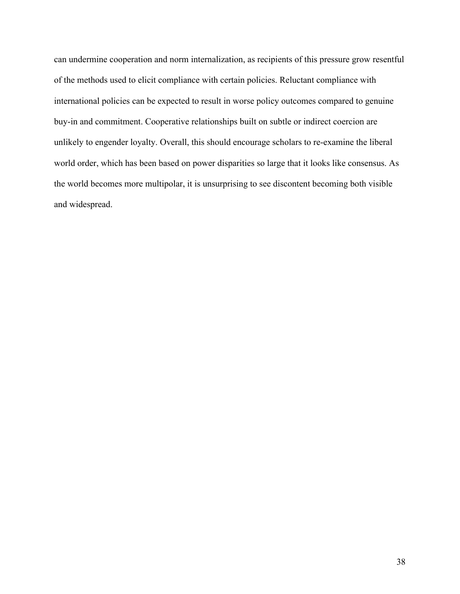can undermine cooperation and norm internalization, as recipients of this pressure grow resentful of the methods used to elicit compliance with certain policies. Reluctant compliance with international policies can be expected to result in worse policy outcomes compared to genuine buy-in and commitment. Cooperative relationships built on subtle or indirect coercion are unlikely to engender loyalty. Overall, this should encourage scholars to re-examine the liberal world order, which has been based on power disparities so large that it looks like consensus. As the world becomes more multipolar, it is unsurprising to see discontent becoming both visible and widespread.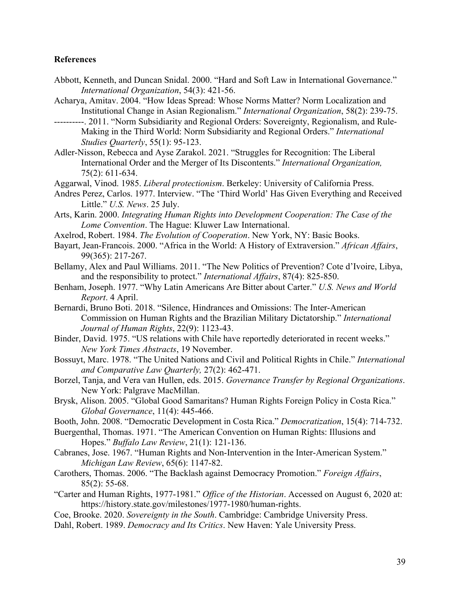## **References**

- Abbott, Kenneth, and Duncan Snidal. 2000. "Hard and Soft Law in International Governance." *International Organization*, 54(3): 421-56.
- Acharya, Amitav. 2004. "How Ideas Spread: Whose Norms Matter? Norm Localization and Institutional Change in Asian Regionalism." *International Organization*, 58(2): 239-75.
- ----------. 2011. "Norm Subsidiarity and Regional Orders: Sovereignty, Regionalism, and Rule-Making in the Third World: Norm Subsidiarity and Regional Orders." *International Studies Quarterly*, 55(1): 95-123.
- Adler-Nisson, Rebecca and Ayse Zarakol. 2021. "Struggles for Recognition: The Liberal International Order and the Merger of Its Discontents." *International Organization,* 75(2): 611-634.
- Aggarwal, Vinod. 1985. *Liberal protectionism*. Berkeley: University of California Press.
- Andres Perez, Carlos. 1977. Interview. "The 'Third World' Has Given Everything and Received Little." *U.S. News*. 25 July.
- Arts, Karin. 2000. *Integrating Human Rights into Development Cooperation: The Case of the Lome Convention*. The Hague: Kluwer Law International.
- Axelrod, Robert. 1984. *The Evolution of Cooperation*. New York, NY: Basic Books.
- Bayart, Jean-Francois. 2000. "Africa in the World: A History of Extraversion." *African Affairs*, 99(365): 217-267.
- Bellamy, Alex and Paul Williams. 2011. "The New Politics of Prevention? Cote d'Ivoire, Libya, and the responsibility to protect." *International Affairs*, 87(4): 825-850.
- Benham, Joseph. 1977. "Why Latin Americans Are Bitter about Carter." *U.S. News and World Report*. 4 April.
- Bernardi, Bruno Boti. 2018. "Silence, Hindrances and Omissions: The Inter-American Commission on Human Rights and the Brazilian Military Dictatorship." *International Journal of Human Rights*, 22(9): 1123-43.
- Binder, David. 1975. "US relations with Chile have reportedly deteriorated in recent weeks." *New York Times Abstracts*, 19 November.
- Bossuyt, Marc. 1978. "The United Nations and Civil and Political Rights in Chile." *International and Comparative Law Quarterly,* 27(2): 462-471.
- Borzel, Tanja, and Vera van Hullen, eds. 2015. *Governance Transfer by Regional Organizations*. New York: Palgrave MacMillan.
- Brysk, Alison. 2005. "Global Good Samaritans? Human Rights Foreign Policy in Costa Rica." *Global Governance*, 11(4): 445-466.
- Booth, John. 2008. "Democratic Development in Costa Rica." *Democratization*, 15(4): 714-732.
- Buergenthal, Thomas. 1971. "The American Convention on Human Rights: Illusions and Hopes." *Buffalo Law Review*, 21(1): 121-136.
- Cabranes, Jose. 1967. "Human Rights and Non-Intervention in the Inter-American System." *Michigan Law Review*, 65(6): 1147-82.
- Carothers, Thomas. 2006. "The Backlash against Democracy Promotion." *Foreign Affairs*, 85(2): 55-68.
- "Carter and Human Rights, 1977-1981." *Office of the Historian*. Accessed on August 6, 2020 at: https://history.state.gov/milestones/1977-1980/human-rights.
- Coe, Brooke. 2020. *Sovereignty in the South*. Cambridge: Cambridge University Press.
- Dahl, Robert. 1989. *Democracy and Its Critics*. New Haven: Yale University Press.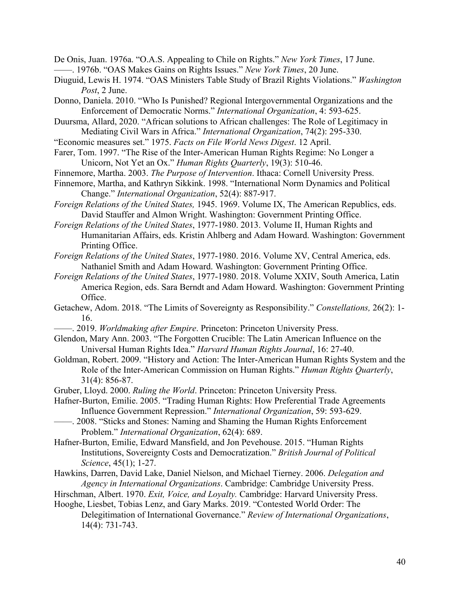De Onis, Juan. 1976a. "O.A.S. Appealing to Chile on Rights." *New York Times*, 17 June.

——. 1976b. "OAS Makes Gains on Rights Issues." *New York Times*, 20 June.

- Diuguid, Lewis H. 1974. "OAS Ministers Table Study of Brazil Rights Violations." *Washington Post*, 2 June.
- Donno, Daniela. 2010. "Who Is Punished? Regional Intergovernmental Organizations and the Enforcement of Democratic Norms." *International Organization*, 4: 593-625.

Duursma, Allard, 2020. "African solutions to African challenges: The Role of Legitimacy in Mediating Civil Wars in Africa." *International Organization*, 74(2): 295-330.

- "Economic measures set." 1975. *Facts on File World News Digest*. 12 April.
- Farer, Tom. 1997. "The Rise of the Inter-American Human Rights Regime: No Longer a Unicorn, Not Yet an Ox." *Human Rights Quarterly*, 19(3): 510-46.
- Finnemore, Martha. 2003. *The Purpose of Intervention*. Ithaca: Cornell University Press.
- Finnemore, Martha, and Kathryn Sikkink. 1998. "International Norm Dynamics and Political Change." *International Organization*, 52(4): 887-917.
- *Foreign Relations of the United States,* 1945. 1969. Volume IX, The American Republics, eds. David Stauffer and Almon Wright. Washington: Government Printing Office.

*Foreign Relations of the United States*, 1977-1980. 2013. Volume II, Human Rights and Humanitarian Affairs, eds. Kristin Ahlberg and Adam Howard. Washington: Government Printing Office.

*Foreign Relations of the United States*, 1977-1980. 2016. Volume XV, Central America, eds. Nathaniel Smith and Adam Howard. Washington: Government Printing Office.

- *Foreign Relations of the United States*, 1977-1980. 2018. Volume XXIV, South America, Latin America Region, eds. Sara Berndt and Adam Howard. Washington: Government Printing Office.
- Getachew, Adom. 2018. "The Limits of Sovereignty as Responsibility." *Constellations,* 26(2): 1- 16.
- ——. 2019. *Worldmaking after Empire*. Princeton: Princeton University Press.
- Glendon, Mary Ann. 2003. "The Forgotten Crucible: The Latin American Influence on the Universal Human Rights Idea." *Harvard Human Rights Journal*, 16: 27-40.
- Goldman, Robert. 2009. "History and Action: The Inter-American Human Rights System and the Role of the Inter-American Commission on Human Rights." *Human Rights Quarterly*, 31(4): 856-87.
- Gruber, Lloyd. 2000. *Ruling the World*. Princeton: Princeton University Press.
- Hafner-Burton, Emilie. 2005. "Trading Human Rights: How Preferential Trade Agreements Influence Government Repression." *International Organization*, 59: 593-629.
- ——. 2008. "Sticks and Stones: Naming and Shaming the Human Rights Enforcement Problem." *International Organization*, 62(4): 689.

Hafner-Burton, Emilie, Edward Mansfield, and Jon Pevehouse. 2015. "Human Rights Institutions, Sovereignty Costs and Democratization." *British Journal of Political Science*, 45(1); 1-27.

- Hawkins, Darren, David Lake, Daniel Nielson, and Michael Tierney. 2006. *Delegation and Agency in International Organizations*. Cambridge: Cambridge University Press.
- Hirschman, Albert. 1970. *Exit, Voice, and Loyalty.* Cambridge: Harvard University Press.
- Hooghe, Liesbet, Tobias Lenz, and Gary Marks. 2019. "Contested World Order: The Delegitimation of International Governance." *Review of International Organizations*, 14(4): 731-743.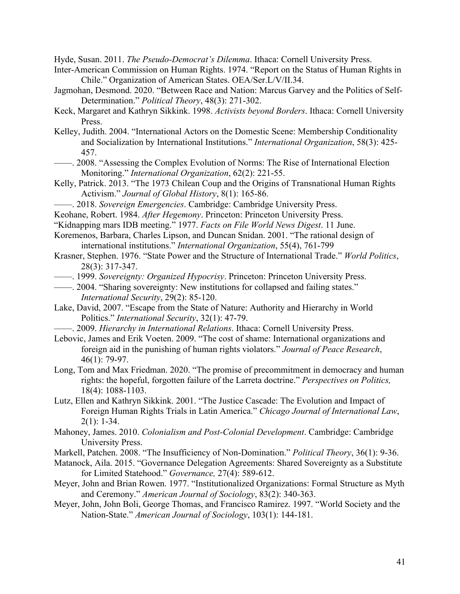Hyde, Susan. 2011. *The Pseudo-Democrat's Dilemma*. Ithaca: Cornell University Press.

- Inter-American Commission on Human Rights. 1974. "Report on the Status of Human Rights in Chile." Organization of American States. OEA/Ser.L/V/II.34.
- Jagmohan, Desmond. 2020. "Between Race and Nation: Marcus Garvey and the Politics of Self-Determination." *Political Theory*, 48(3): 271-302.
- Keck, Margaret and Kathryn Sikkink. 1998. *Activists beyond Borders*. Ithaca: Cornell University Press.
- Kelley, Judith. 2004. "International Actors on the Domestic Scene: Membership Conditionality and Socialization by International Institutions." *International Organization*, 58(3): 425- 457.
- ——. 2008. "Assessing the Complex Evolution of Norms: The Rise of International Election Monitoring." *International Organization*, 62(2): 221-55.
- Kelly, Patrick. 2013. "The 1973 Chilean Coup and the Origins of Transnational Human Rights Activism." *Journal of Global History*, 8(1): 165-86.
- ——. 2018. *Sovereign Emergencies*. Cambridge: Cambridge University Press.
- Keohane, Robert. 1984. *After Hegemony*. Princeton: Princeton University Press.
- "Kidnapping mars IDB meeting." 1977. *Facts on File World News Digest*. 11 June.
- Koremenos, Barbara, Charles Lipson, and Duncan Snidan. 2001. "The rational design of international institutions." *International Organization*, 55(4), 761-799
- Krasner, Stephen. 1976. "State Power and the Structure of International Trade." *World Politics*, 28(3): 317-347.
- ——. 1999. *Sovereignty: Organized Hypocrisy*. Princeton: Princeton University Press.
- ——. 2004. "Sharing sovereignty: New institutions for collapsed and failing states." *International Security*, 29(2): 85-120.
- Lake, David, 2007. "Escape from the State of Nature: Authority and Hierarchy in World Politics." *International Security*, 32(1): 47-79.
	- ——. 2009. *Hierarchy in International Relations*. Ithaca: Cornell University Press.
- Lebovic, James and Erik Voeten. 2009. "The cost of shame: International organizations and foreign aid in the punishing of human rights violators." *Journal of Peace Research*, 46(1): 79-97.
- Long, Tom and Max Friedman. 2020. "The promise of precommitment in democracy and human rights: the hopeful, forgotten failure of the Larreta doctrine." *Perspectives on Politics,* 18(4): 1088-1103.
- Lutz, Ellen and Kathryn Sikkink. 2001. "The Justice Cascade: The Evolution and Impact of Foreign Human Rights Trials in Latin America." *Chicago Journal of International Law*,  $2(1): 1-34.$
- Mahoney, James. 2010. *Colonialism and Post-Colonial Development*. Cambridge: Cambridge University Press.
- Markell, Patchen. 2008. "The Insufficiency of Non-Domination." *Political Theory*, 36(1): 9-36.
- Matanock, Aila. 2015. "Governance Delegation Agreements: Shared Sovereignty as a Substitute for Limited Statehood." *Governance,* 27(4): 589-612.
- Meyer, John and Brian Rowen. 1977. "Institutionalized Organizations: Formal Structure as Myth and Ceremony." *American Journal of Sociology*, 83(2): 340-363.
- Meyer, John, John Boli, George Thomas, and Francisco Ramirez. 1997. "World Society and the Nation-State." *American Journal of Sociology*, 103(1): 144-181.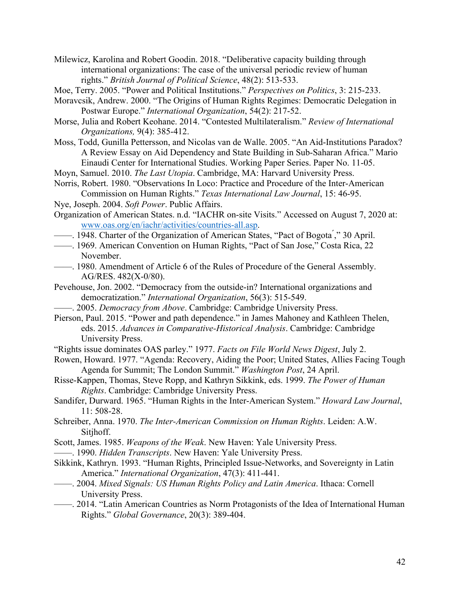Milewicz, Karolina and Robert Goodin. 2018. "Deliberative capacity building through international organizations: The case of the universal periodic review of human rights." *British Journal of Political Science*, 48(2): 513-533.

Moe, Terry. 2005. "Power and Political Institutions." *Perspectives on Politics*, 3: 215-233.

- Moravcsik, Andrew. 2000. "The Origins of Human Rights Regimes: Democratic Delegation in Postwar Europe." *International Organization*, 54(2): 217-52.
- Morse, Julia and Robert Keohane. 2014. "Contested Multilateralism." *Review of International Organizations,* 9(4): 385-412.
- Moss, Todd, Gunilla Pettersson, and Nicolas van de Walle. 2005. "An Aid-Institutions Paradox? A Review Essay on Aid Dependency and State Building in Sub-Saharan Africa." Mario Einaudi Center for International Studies. Working Paper Series. Paper No. 11-05.
- Moyn, Samuel. 2010. *The Last Utopia*. Cambridge, MA: Harvard University Press.
- Norris, Robert. 1980. "Observations In Loco: Practice and Procedure of the Inter-American Commission on Human Rights." *Texas International Law Journal*, 15: 46-95.
- Nye, Joseph. 2004. *Soft Power*. Public Affairs.
- Organization of American States. n.d. "IACHR on-site Visits." Accessed on August 7, 2020 at: www.oas.org/en/iachr/activities/countries-all.asp.
- 1948. Charter of the Organization of American States, "Pact of Bogota<sup>"</sup>," 30 April.
- ——. 1969. American Convention on Human Rights, "Pact of San Jose," Costa Rica, 22 November.
- ——. 1980. Amendment of Article 6 of the Rules of Procedure of the General Assembly. AG/RES. 482(X-0/80).
- Pevehouse, Jon. 2002. "Democracy from the outside-in? International organizations and democratization." *International Organization*, 56(3): 515-549.
- ——. 2005. *Democracy from Above*. Cambridge: Cambridge University Press.
- Pierson, Paul. 2015. "Power and path dependence." in James Mahoney and Kathleen Thelen, eds. 2015. *Advances in Comparative-Historical Analysis*. Cambridge: Cambridge University Press.
- "Rights issue dominates OAS parley." 1977. *Facts on File World News Digest*, July 2.
- Rowen, Howard. 1977. "Agenda: Recovery, Aiding the Poor; United States, Allies Facing Tough Agenda for Summit; The London Summit." *Washington Post*, 24 April.
- Risse-Kappen, Thomas, Steve Ropp, and Kathryn Sikkink, eds. 1999. *The Power of Human Rights*. Cambridge: Cambridge University Press.
- Sandifer, Durward. 1965. "Human Rights in the Inter-American System." *Howard Law Journal*, 11: 508-28.
- Schreiber, Anna. 1970. *The Inter-American Commission on Human Rights*. Leiden: A.W. Sitjhoff.
- Scott, James. 1985. *Weapons of the Weak*. New Haven: Yale University Press.
- ——. 1990. *Hidden Transcripts*. New Haven: Yale University Press.
- Sikkink, Kathryn. 1993. "Human Rights, Principled Issue-Networks, and Sovereignty in Latin America." *International Organization*, 47(3): 411-441.
- ——. 2004. *Mixed Signals: US Human Rights Policy and Latin America*. Ithaca: Cornell University Press.
- ——. 2014. "Latin American Countries as Norm Protagonists of the Idea of International Human Rights." *Global Governance*, 20(3): 389-404.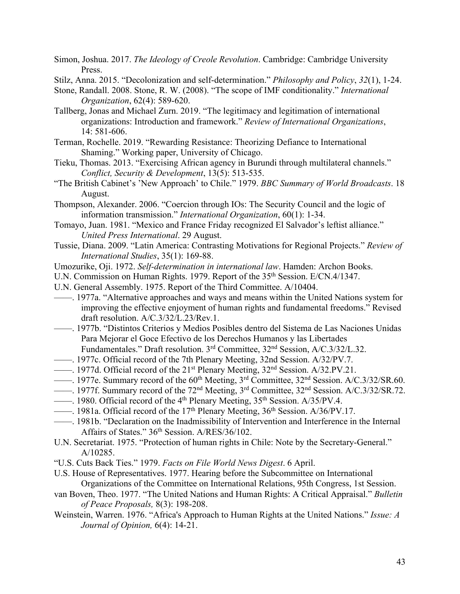Simon, Joshua. 2017. *The Ideology of Creole Revolution*. Cambridge: Cambridge University Press.

- Stilz, Anna. 2015. "Decolonization and self-determination." *Philosophy and Policy*, *32*(1), 1-24.
- Stone, Randall. 2008. Stone, R. W. (2008). "The scope of IMF conditionality." *International Organization*, 62(4): 589-620.
- Tallberg, Jonas and Michael Zurn. 2019. "The legitimacy and legitimation of international organizations: Introduction and framework." *Review of International Organizations*, 14: 581-606.
- Terman, Rochelle. 2019. "Rewarding Resistance: Theorizing Defiance to International Shaming." Working paper, University of Chicago.
- Tieku, Thomas. 2013. "Exercising African agency in Burundi through multilateral channels." *Conflict, Security & Development*, 13(5): 513-535.
- "The British Cabinet's 'New Approach' to Chile." 1979. *BBC Summary of World Broadcasts*. 18 August.
- Thompson, Alexander. 2006. "Coercion through IOs: The Security Council and the logic of information transmission." *International Organization*, 60(1): 1-34.
- Tomayo, Juan. 1981. "Mexico and France Friday recognized El Salvador's leftist alliance." *United Press International*. 29 August.
- Tussie, Diana. 2009. "Latin America: Contrasting Motivations for Regional Projects." *Review of International Studies*, 35(1): 169-88.
- Umozurike, Oji. 1972. *Self-determination in international law*. Hamden: Archon Books.
- U.N. Commission on Human Rights. 1979. Report of the 35<sup>th</sup> Session. E/CN.4/1347.
- U.N. General Assembly. 1975. Report of the Third Committee. A/10404.
- ——. 1977a. "Alternative approaches and ways and means within the United Nations system for improving the effective enjoyment of human rights and fundamental freedoms." Revised draft resolution. A/C.3/32/L.23/Rev.1.
- ——. 1977b. "Distintos Criterios y Medios Posibles dentro del Sistema de Las Naciones Unidas Para Mejorar el Goce Efectivo de los Derechos Humanos y las Libertades Fundamentales." Draft resolution. 3rd Committee, 32nd Session, A/C.3/32/L.32.
- ——. 1977c. Official record of the 7th Plenary Meeting, 32nd Session. A/32/PV.7.
- ——. 1977d. Official record of the 21st Plenary Meeting, 32nd Session. A/32.PV.21.
- ——. 1977e. Summary record of the 60<sup>th</sup> Meeting, 3<sup>rd</sup> Committee, 32<sup>nd</sup> Session. A/C.3/32/SR.60.
- ——. 1977f. Summary record of the 72nd Meeting, 3rd Committee, 32nd Session. A/C.3/32/SR.72.
- $\frac{1}{980}$ . Official record of the 4<sup>th</sup> Plenary Meeting, 35<sup>th</sup> Session. A/35/PV.4.
- ——. 1981a. Official record of the 17<sup>th</sup> Plenary Meeting,  $36<sup>th</sup>$  Session. A/36/PV.17.
- ——. 1981b. "Declaration on the Inadmissibility of Intervention and Interference in the Internal Affairs of States." 36<sup>th</sup> Session. A/RES/36/102.
- U.N. Secretariat. 1975. "Protection of human rights in Chile: Note by the Secretary-General." A/10285.
- "U.S. Cuts Back Ties." 1979. *Facts on File World News Digest*. 6 April.
- U.S. House of Representatives. 1977. Hearing before the Subcommittee on International Organizations of the Committee on International Relations, 95th Congress, 1st Session.
- van Boven, Theo. 1977. "The United Nations and Human Rights: A Critical Appraisal." *Bulletin of Peace Proposals,* 8(3): 198-208.
- Weinstein, Warren. 1976. "Africa's Approach to Human Rights at the United Nations." *Issue: A Journal of Opinion,* 6(4): 14-21.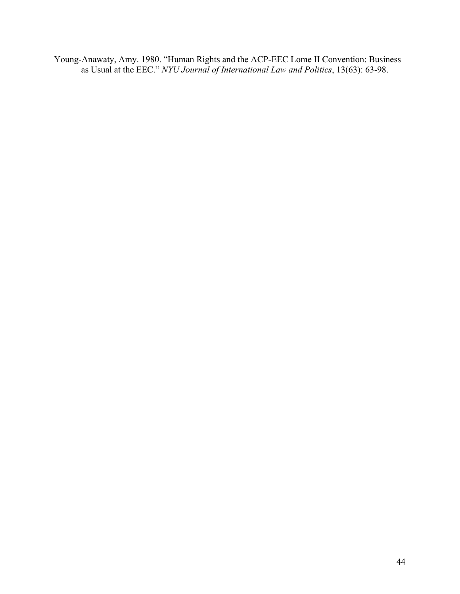Young-Anawaty, Amy. 1980. "Human Rights and the ACP-EEC Lome II Convention: Business as Usual at the EEC." *NYU Journal of International Law and Politics*, 13(63): 63-98.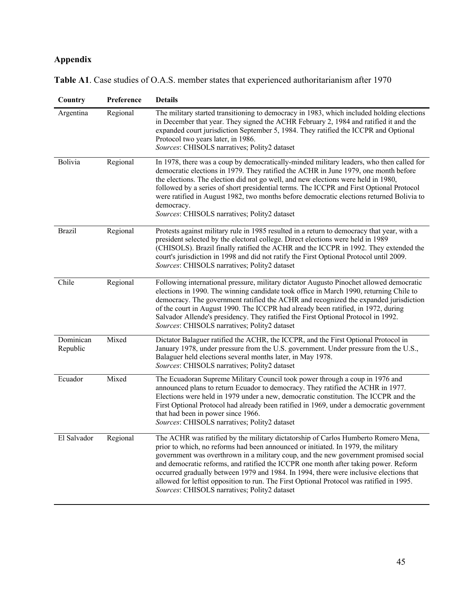# **Appendix**

| Country               | Preference | <b>Details</b>                                                                                                                                                                                                                                                                                                                                                                                                                                                                                                                                                                               |
|-----------------------|------------|----------------------------------------------------------------------------------------------------------------------------------------------------------------------------------------------------------------------------------------------------------------------------------------------------------------------------------------------------------------------------------------------------------------------------------------------------------------------------------------------------------------------------------------------------------------------------------------------|
| Argentina             | Regional   | The military started transitioning to democracy in 1983, which included holding elections<br>in December that year. They signed the ACHR February 2, 1984 and ratified it and the<br>expanded court jurisdiction September 5, 1984. They ratified the ICCPR and Optional<br>Protocol two years later, in 1986.<br>Sources: CHISOLS narratives; Polity2 dataset                                                                                                                                                                                                                               |
| Bolivia               | Regional   | In 1978, there was a coup by democratically-minded military leaders, who then called for<br>democratic elections in 1979. They ratified the ACHR in June 1979, one month before<br>the elections. The election did not go well, and new elections were held in 1980,<br>followed by a series of short presidential terms. The ICCPR and First Optional Protocol<br>were ratified in August 1982, two months before democratic elections returned Bolivia to<br>democracy.<br>Sources: CHISOLS narratives; Polity2 dataset                                                                    |
| <b>Brazil</b>         | Regional   | Protests against military rule in 1985 resulted in a return to democracy that year, with a<br>president selected by the electoral college. Direct elections were held in 1989<br>(CHISOLS). Brazil finally ratified the ACHR and the ICCPR in 1992. They extended the<br>court's jurisdiction in 1998 and did not ratify the First Optional Protocol until 2009.<br>Sources: CHISOLS narratives; Polity2 dataset                                                                                                                                                                             |
| Chile                 | Regional   | Following international pressure, military dictator Augusto Pinochet allowed democratic<br>elections in 1990. The winning candidate took office in March 1990, returning Chile to<br>democracy. The government ratified the ACHR and recognized the expanded jurisdiction<br>of the court in August 1990. The ICCPR had already been ratified, in 1972, during<br>Salvador Allende's presidency. They ratified the First Optional Protocol in 1992.<br>Sources: CHISOLS narratives; Polity2 dataset                                                                                          |
| Dominican<br>Republic | Mixed      | Dictator Balaguer ratified the ACHR, the ICCPR, and the First Optional Protocol in<br>January 1978, under pressure from the U.S. government. Under pressure from the U.S.,<br>Balaguer held elections several months later, in May 1978.<br>Sources: CHISOLS narratives; Polity2 dataset                                                                                                                                                                                                                                                                                                     |
| Ecuador               | Mixed      | The Ecuadoran Supreme Military Council took power through a coup in 1976 and<br>announced plans to return Ecuador to democracy. They ratified the ACHR in 1977.<br>Elections were held in 1979 under a new, democratic constitution. The ICCPR and the<br>First Optional Protocol had already been ratified in 1969, under a democratic government<br>that had been in power since 1966.<br>Sources: CHISOLS narratives; Polity2 dataset                                                                                                                                                     |
| El Salvador           | Regional   | The ACHR was ratified by the military dictatorship of Carlos Humberto Romero Mena,<br>prior to which, no reforms had been announced or initiated. In 1979, the military<br>government was overthrown in a military coup, and the new government promised social<br>and democratic reforms, and ratified the ICCPR one month after taking power. Reform<br>occurred gradually between 1979 and 1984. In 1994, there were inclusive elections that<br>allowed for leftist opposition to run. The First Optional Protocol was ratified in 1995.<br>Sources: CHISOLS narratives; Polity2 dataset |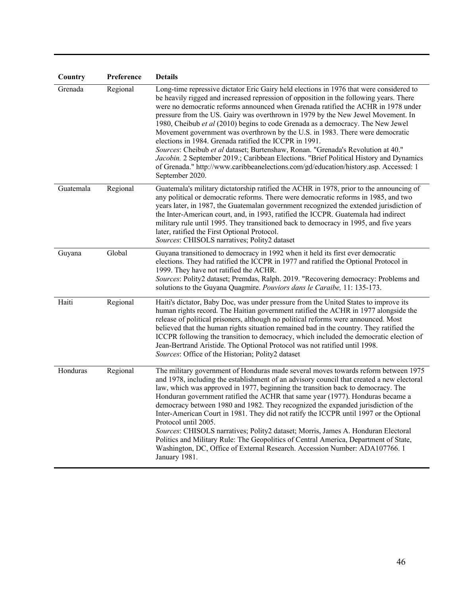| Country   | Preference | <b>Details</b>                                                                                                                                                                                                                                                                                                                                                                                                                                                                                                                                                                                                                                                                                                                                                                                                                                                                    |
|-----------|------------|-----------------------------------------------------------------------------------------------------------------------------------------------------------------------------------------------------------------------------------------------------------------------------------------------------------------------------------------------------------------------------------------------------------------------------------------------------------------------------------------------------------------------------------------------------------------------------------------------------------------------------------------------------------------------------------------------------------------------------------------------------------------------------------------------------------------------------------------------------------------------------------|
| Grenada   | Regional   | Long-time repressive dictator Eric Gairy held elections in 1976 that were considered to<br>be heavily rigged and increased repression of opposition in the following years. There<br>were no democratic reforms announced when Grenada ratified the ACHR in 1978 under<br>pressure from the US. Gairy was overthrown in 1979 by the New Jewel Movement. In<br>1980, Cheibub et al (2010) begins to code Grenada as a democracy. The New Jewel<br>Movement government was overthrown by the U.S. in 1983. There were democratic<br>elections in 1984. Grenada ratified the ICCPR in 1991.<br>Sources: Cheibub et al dataset; Burtenshaw, Ronan. "Grenada's Revolution at 40."<br>Jacobin. 2 September 2019.; Caribbean Elections. "Brief Political History and Dynamics<br>of Grenada." http://www.caribbeanelections.com/gd/education/history.asp. Accessed: 1<br>September 2020. |
| Guatemala | Regional   | Guatemala's military dictatorship ratified the ACHR in 1978, prior to the announcing of<br>any political or democratic reforms. There were democratic reforms in 1985, and two<br>years later, in 1987, the Guatemalan government recognized the extended jurisdiction of<br>the Inter-American court, and, in 1993, ratified the ICCPR. Guatemala had indirect<br>military rule until 1995. They transitioned back to democracy in 1995, and five years<br>later, ratified the First Optional Protocol.<br>Sources: CHISOLS narratives; Polity2 dataset                                                                                                                                                                                                                                                                                                                          |
| Guyana    | Global     | Guyana transitioned to democracy in 1992 when it held its first ever democratic<br>elections. They had ratified the ICCPR in 1977 and ratified the Optional Protocol in<br>1999. They have not ratified the ACHR.<br>Sources: Polity2 dataset; Premdas, Ralph. 2019. "Recovering democracy: Problems and<br>solutions to the Guyana Quagmire. Pouviors dans le Caraibe, 11: 135-173.                                                                                                                                                                                                                                                                                                                                                                                                                                                                                              |
| Haiti     | Regional   | Haiti's dictator, Baby Doc, was under pressure from the United States to improve its<br>human rights record. The Haitian government ratified the ACHR in 1977 alongside the<br>release of political prisoners, although no political reforms were announced. Most<br>believed that the human rights situation remained bad in the country. They ratified the<br>ICCPR following the transition to democracy, which included the democratic election of<br>Jean-Bertrand Aristide. The Optional Protocol was not ratified until 1998.<br>Sources: Office of the Historian; Polity2 dataset                                                                                                                                                                                                                                                                                         |
| Honduras  | Regional   | The military government of Honduras made several moves towards reform between 1975<br>and 1978, including the establishment of an advisory council that created a new electoral<br>law, which was approved in 1977, beginning the transition back to democracy. The<br>Honduran government ratified the ACHR that same year (1977). Honduras became a<br>democracy between 1980 and 1982. They recognized the expanded jurisdiction of the<br>Inter-American Court in 1981. They did not ratify the ICCPR until 1997 or the Optional<br>Protocol until 2005.<br>Sources: CHISOLS narratives; Polity2 dataset; Morris, James A. Honduran Electoral<br>Politics and Military Rule: The Geopolitics of Central America, Department of State,<br>Washington, DC, Office of External Research. Accession Number: ADA107766. 1<br>January 1981.                                         |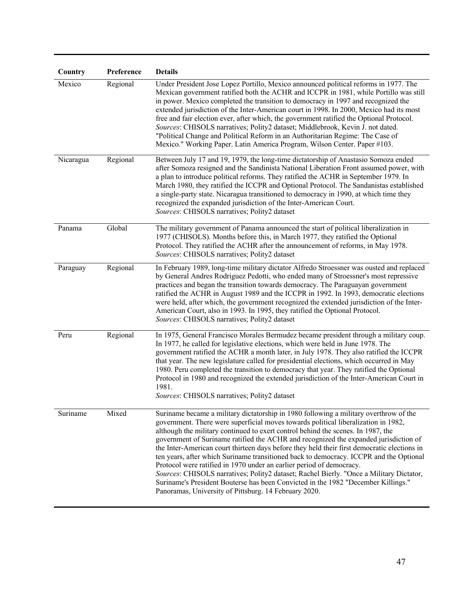| Country   | Preference | <b>Details</b>                                                                                                                                                                                                                                                                                                                                                                                                                                                                                                                                                                                                                                                                                                                                                                                                                                                    |
|-----------|------------|-------------------------------------------------------------------------------------------------------------------------------------------------------------------------------------------------------------------------------------------------------------------------------------------------------------------------------------------------------------------------------------------------------------------------------------------------------------------------------------------------------------------------------------------------------------------------------------------------------------------------------------------------------------------------------------------------------------------------------------------------------------------------------------------------------------------------------------------------------------------|
| Mexico    | Regional   | Under President Jose Lopez Portillo, Mexico announced political reforms in 1977. The<br>Mexican government ratified both the ACHR and ICCPR in 1981, while Portillo was still<br>in power. Mexico completed the transition to democracy in 1997 and recognized the<br>extended jurisdiction of the Inter-American court in 1998. In 2000, Mexico had its most<br>free and fair election ever, after which, the government ratified the Optional Protocol.<br>Sources: CHISOLS narratives; Polity2 dataset; Middlebrook, Kevin J. not dated.<br>"Political Change and Political Reform in an Authoritarian Regime: The Case of<br>Mexico." Working Paper. Latin America Program, Wilson Center. Paper #103.                                                                                                                                                        |
| Nicaragua | Regional   | Between July 17 and 19, 1979, the long-time dictatorship of Anastasio Somoza ended<br>after Somoza resigned and the Sandinista National Liberation Front assumed power, with<br>a plan to introduce political reforms. They ratified the ACHR in September 1979. In<br>March 1980, they ratified the ICCPR and Optional Protocol. The Sandanistas established<br>a single-party state. Nicaragua transitioned to democracy in 1990, at which time they<br>recognized the expanded jurisdiction of the Inter-American Court.<br>Sources: CHISOLS narratives; Polity2 dataset                                                                                                                                                                                                                                                                                       |
| Panama    | Global     | The military government of Panama announced the start of political liberalization in<br>1977 (CHISOLS). Months before this, in March 1977, they ratified the Optional<br>Protocol. They ratified the ACHR after the announcement of reforms, in May 1978.<br>Sources: CHISOLS narratives; Polity2 dataset                                                                                                                                                                                                                                                                                                                                                                                                                                                                                                                                                         |
| Paraguay  | Regional   | In February 1989, long-time military dictator Alfredo Stroessner was ousted and replaced<br>by General Andres Rodriguez Pedotti, who ended many of Stroessner's most repressive<br>practices and began the transition towards democracy. The Paraguayan government<br>ratified the ACHR in August 1989 and the ICCPR in 1992. In 1993, democratic elections<br>were held, after which, the government recognized the extended jurisdiction of the Inter-<br>American Court, also in 1993. In 1995, they ratified the Optional Protocol.<br>Sources: CHISOLS narratives; Polity2 dataset                                                                                                                                                                                                                                                                           |
| Peru      | Regional   | In 1975, General Francisco Morales Bermudez became president through a military coup.<br>In 1977, he called for legislative elections, which were held in June 1978. The<br>government ratified the ACHR a month later, in July 1978. They also ratified the ICCPR<br>that year. The new legislature called for presidential elections, which occurred in May<br>1980. Peru completed the transition to democracy that year. They ratified the Optional<br>Protocol in 1980 and recognized the extended jurisdiction of the Inter-American Court in<br>1981.<br>Sources: CHISOLS narratives; Polity2 dataset                                                                                                                                                                                                                                                      |
| Suriname  | Mixed      | Suriname became a military dictatorship in 1980 following a military overthrow of the<br>government. There were superficial moves towards political liberalization in 1982,<br>although the military continued to exert control behind the scenes. In 1987, the<br>government of Suriname ratified the ACHR and recognized the expanded jurisdiction of<br>the Inter-American court thirteen days before they held their first democratic elections in<br>ten years, after which Suriname transitioned back to democracy. ICCPR and the Optional<br>Protocol were ratified in 1970 under an earlier period of democracy.<br>Sources: CHISOLS narratives; Polity2 dataset; Rachel Bierly. "Once a Military Dictator,<br>Suriname's President Bouterse has been Convicted in the 1982 "December Killings."<br>Panoramas, University of Pittsburg. 14 February 2020. |